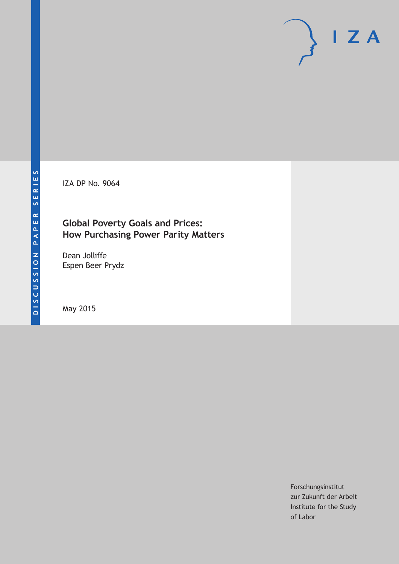IZA DP No. 9064

# **Global Poverty Goals and Prices: How Purchasing Power Parity Matters**

Dean Jolliffe Espen Beer Prydz

May 2015

Forschungsinstitut zur Zukunft der Arbeit Institute for the Study of Labor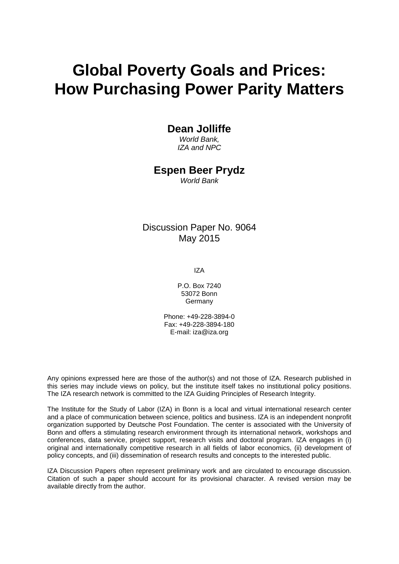# **Global Poverty Goals and Prices: How Purchasing Power Parity Matters**

## **Dean Jolliffe**

*World Bank, IZA and NPC*

## **Espen Beer Prydz**

*World Bank*

# Discussion Paper No. 9064 May 2015

IZA

P.O. Box 7240 53072 Bonn **Germany** 

Phone: +49-228-3894-0 Fax: +49-228-3894-180 E-mail: iza@iza.org

Any opinions expressed here are those of the author(s) and not those of IZA. Research published in this series may include views on policy, but the institute itself takes no institutional policy positions. The IZA research network is committed to the IZA Guiding Principles of Research Integrity.

The Institute for the Study of Labor (IZA) in Bonn is a local and virtual international research center and a place of communication between science, politics and business. IZA is an independent nonprofit organization supported by Deutsche Post Foundation. The center is associated with the University of Bonn and offers a stimulating research environment through its international network, workshops and conferences, data service, project support, research visits and doctoral program. IZA engages in (i) original and internationally competitive research in all fields of labor economics, (ii) development of policy concepts, and (iii) dissemination of research results and concepts to the interested public.

<span id="page-1-0"></span>IZA Discussion Papers often represent preliminary work and are circulated to encourage discussion. Citation of such a paper should account for its provisional character. A revised version may be available directly from the author.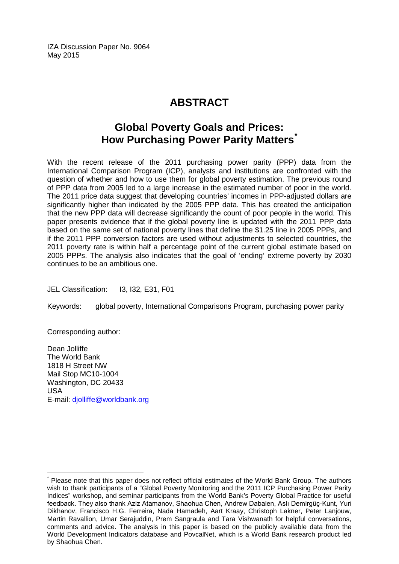IZA Discussion Paper No. 9064 May 2015

# **ABSTRACT**

# **Global Poverty Goals and Prices: How Purchasing Power Parity Matters[\\*](#page-1-0)**

With the recent release of the 2011 purchasing power parity (PPP) data from the International Comparison Program (ICP), analysts and institutions are confronted with the question of whether and how to use them for global poverty estimation. The previous round of PPP data from 2005 led to a large increase in the estimated number of poor in the world. The 2011 price data suggest that developing countries' incomes in PPP-adjusted dollars are significantly higher than indicated by the 2005 PPP data. This has created the anticipation that the new PPP data will decrease significantly the count of poor people in the world. This paper presents evidence that if the global poverty line is updated with the 2011 PPP data based on the same set of national poverty lines that define the \$1.25 line in 2005 PPPs, and if the 2011 PPP conversion factors are used without adjustments to selected countries, the 2011 poverty rate is within half a percentage point of the current global estimate based on 2005 PPPs. The analysis also indicates that the goal of 'ending' extreme poverty by 2030 continues to be an ambitious one.

JEL Classification: I3, I32, E31, F01

Keywords: global poverty, International Comparisons Program, purchasing power parity

Corresponding author:

Dean Jolliffe The World Bank 1818 H Street NW Mail Stop MC10-1004 Washington, DC 20433 USA E-mail: [djolliffe@worldbank.org](mailto:djolliffe@worldbank.org)

Please note that this paper does not reflect official estimates of the World Bank Group. The authors wish to thank participants of a "Global Poverty Monitoring and the 2011 ICP Purchasing Power Parity Indices" workshop, and seminar participants from the World Bank's Poverty Global Practice for useful feedback. They also thank Aziz Atamanov, Shaohua Chen, Andrew Dabalen, Aslı Demirgüç-Kunt, Yuri Dikhanov, Francisco H.G. Ferreira, Nada Hamadeh, Aart Kraay, Christoph Lakner, Peter Lanjouw, Martin Ravallion, Umar Serajuddin, Prem Sangraula and Tara Vishwanath for helpful conversations, comments and advice. The analysis in this paper is based on the publicly available data from the World Development Indicators database and PovcalNet, which is a World Bank research product led by Shaohua Chen.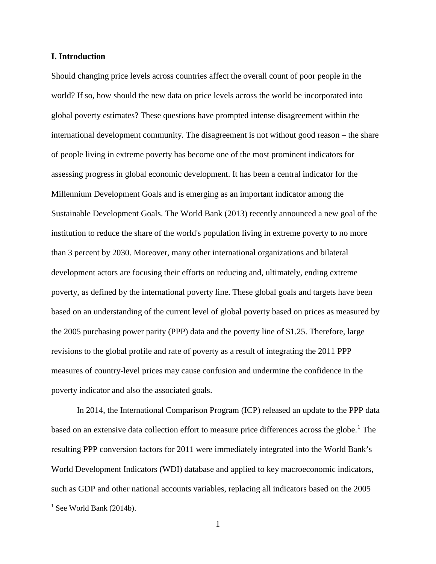#### **I. Introduction**

Should changing price levels across countries affect the overall count of poor people in the world? If so, how should the new data on price levels across the world be incorporated into global poverty estimates? These questions have prompted intense disagreement within the international development community. The disagreement is not without good reason – the share of people living in extreme poverty has become one of the most prominent indicators for assessing progress in global economic development. It has been a central indicator for the Millennium Development Goals and is emerging as an important indicator among the Sustainable Development Goals. The World Bank (2013) recently announced a new goal of the institution to reduce the share of the world's population living in extreme poverty to no more than 3 percent by 2030. Moreover, many other international organizations and bilateral development actors are focusing their efforts on reducing and, ultimately, ending extreme poverty, as defined by the international poverty line. These global goals and targets have been based on an understanding of the current level of global poverty based on prices as measured by the 2005 purchasing power parity (PPP) data and the poverty line of \$1.25. Therefore, large revisions to the global profile and rate of poverty as a result of integrating the 2011 PPP measures of country-level prices may cause confusion and undermine the confidence in the poverty indicator and also the associated goals.

<span id="page-3-0"></span>In 2014, the International Comparison Program (ICP) released an update to the PPP data based on an extensive data collection effort to measure price differences across the globe.<sup>[1](#page-7-0)</sup> The resulting PPP conversion factors for 2011 were immediately integrated into the World Bank's World Development Indicators (WDI) database and applied to key macroeconomic indicators, such as GDP and other national accounts variables, replacing all indicators based on the 2005

 $<sup>1</sup>$  See World Bank (2014b).</sup>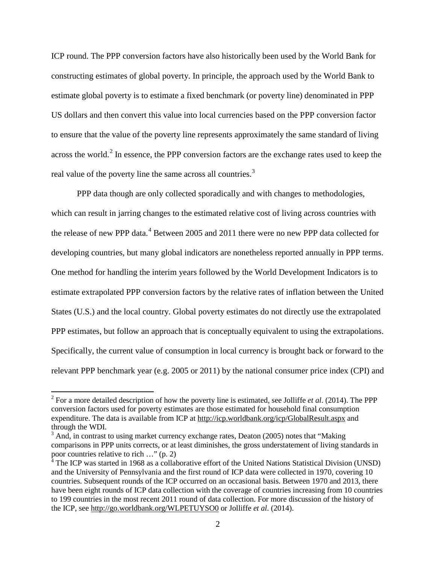ICP round. The PPP conversion factors have also historically been used by the World Bank for constructing estimates of global poverty. In principle, the approach used by the World Bank to estimate global poverty is to estimate a fixed benchmark (or poverty line) denominated in PPP US dollars and then convert this value into local currencies based on the PPP conversion factor to ensure that the value of the poverty line represents approximately the same standard of living across the world.<sup>[2](#page-3-0)</sup> In essence, the PPP conversion factors are the exchange rates used to keep the real value of the poverty line the same across all countries.<sup>[3](#page-4-0)</sup>

PPP data though are only collected sporadically and with changes to methodologies, which can result in jarring changes to the estimated relative cost of living across countries with the release of new PPP data.<sup>[4](#page-4-1)</sup> Between 2005 and 2011 there were no new PPP data collected for developing countries, but many global indicators are nonetheless reported annually in PPP terms. One method for handling the interim years followed by the World Development Indicators is to estimate extrapolated PPP conversion factors by the relative rates of inflation between the United States (U.S.) and the local country. Global poverty estimates do not directly use the extrapolated PPP estimates, but follow an approach that is conceptually equivalent to using the extrapolations. Specifically, the current value of consumption in local currency is brought back or forward to the relevant PPP benchmark year (e.g. 2005 or 2011) by the national consumer price index (CPI) and

<sup>2</sup> For a more detailed description of how the poverty line is estimated, see Jolliffe *et al*. (2014). The PPP conversion factors used for poverty estimates are those estimated for household final consumption expenditure. The data is available from ICP at<http://icp.worldbank.org/icp/GlobalResult.aspx> and through the WDI.

<span id="page-4-0"></span> $3$  And, in contrast to using market currency exchange rates, Deaton (2005) notes that "Making" comparisons in PPP units corrects, or at least diminishes, the gross understatement of living standards in poor countries relative to rich …" (p. 2)

<span id="page-4-2"></span><span id="page-4-1"></span> $4 \text{ The ICP was started in 1968 as a collaborative effort of the United Nations Statistical Division (UNSD)}$ and the University of Pennsylvania and the first round of ICP data were collected in 1970, covering 10 countries. Subsequent rounds of the ICP occurred on an occasional basis. Between 1970 and 2013, there have been eight rounds of ICP data collection with the coverage of countries increasing from 10 countries to 199 countries in the most recent 2011 round of data collection. For more discussion of the history of the ICP, see<http://go.worldbank.org/WLPETUYSO0> or Jolliffe *et al*. (2014).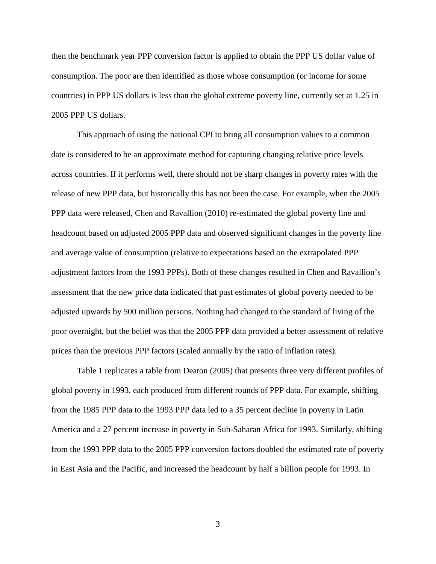then the benchmark year PPP conversion factor is applied to obtain the PPP US dollar value of consumption. The poor are then identified as those whose consumption (or income for some countries) in PPP US dollars is less than the global extreme poverty line, currently set at 1.25 in 2005 PPP US dollars.

This approach of using the national CPI to bring all consumption values to a common date is considered to be an approximate method for capturing changing relative price levels across countries. If it performs well, there should not be sharp changes in poverty rates with the release of new PPP data, but historically this has not been the case. For example, when the 2005 PPP data were released, Chen and Ravallion (2010) re-estimated the global poverty line and headcount based on adjusted 2005 PPP data and observed significant changes in the poverty line and average value of consumption (relative to expectations based on the extrapolated PPP adjustment factors from the 1993 PPPs). Both of these changes resulted in Chen and Ravallion's assessment that the new price data indicated that past estimates of global poverty needed to be adjusted upwards by 500 million persons. Nothing had changed to the standard of living of the poor overnight, but the belief was that the 2005 PPP data provided a better assessment of relative prices than the previous PPP factors (scaled annually by the ratio of inflation rates).

Table 1 replicates a table from Deaton (2005) that presents three very different profiles of global poverty in 1993, each produced from different rounds of PPP data. For example, shifting from the 1985 PPP data to the 1993 PPP data led to a 35 percent decline in poverty in Latin America and a 27 percent increase in poverty in Sub-Saharan Africa for 1993. Similarly, shifting from the 1993 PPP data to the 2005 PPP conversion factors doubled the estimated rate of poverty in East Asia and the Pacific, and increased the headcount by half a billion people for 1993. In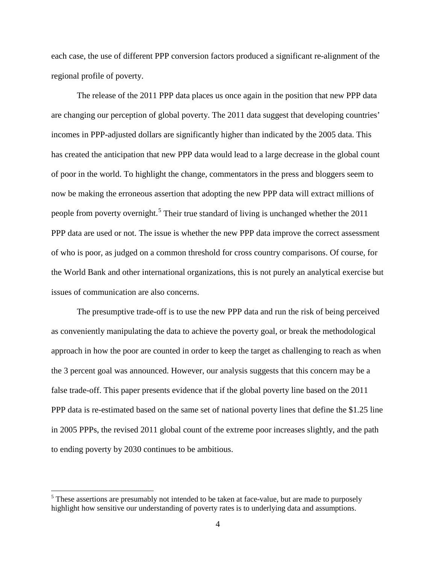each case, the use of different PPP conversion factors produced a significant re-alignment of the regional profile of poverty.

The release of the 2011 PPP data places us once again in the position that new PPP data are changing our perception of global poverty. The 2011 data suggest that developing countries' incomes in PPP-adjusted dollars are significantly higher than indicated by the 2005 data. This has created the anticipation that new PPP data would lead to a large decrease in the global count of poor in the world. To highlight the change, commentators in the press and bloggers seem to now be making the erroneous assertion that adopting the new PPP data will extract millions of people from poverty overnight.<sup>[5](#page-4-2)</sup> Their true standard of living is unchanged whether the 2011 PPP data are used or not. The issue is whether the new PPP data improve the correct assessment of who is poor, as judged on a common threshold for cross country comparisons. Of course, for the World Bank and other international organizations, this is not purely an analytical exercise but issues of communication are also concerns.

The presumptive trade-off is to use the new PPP data and run the risk of being perceived as conveniently manipulating the data to achieve the poverty goal, or break the methodological approach in how the poor are counted in order to keep the target as challenging to reach as when the 3 percent goal was announced. However, our analysis suggests that this concern may be a false trade-off. This paper presents evidence that if the global poverty line based on the 2011 PPP data is re-estimated based on the same set of national poverty lines that define the \$1.25 line in 2005 PPPs, the revised 2011 global count of the extreme poor increases slightly, and the path to ending poverty by 2030 continues to be ambitious.

<span id="page-6-0"></span><sup>&</sup>lt;sup>5</sup> These assertions are presumably not intended to be taken at face-value, but are made to purposely highlight how sensitive our understanding of poverty rates is to underlying data and assumptions.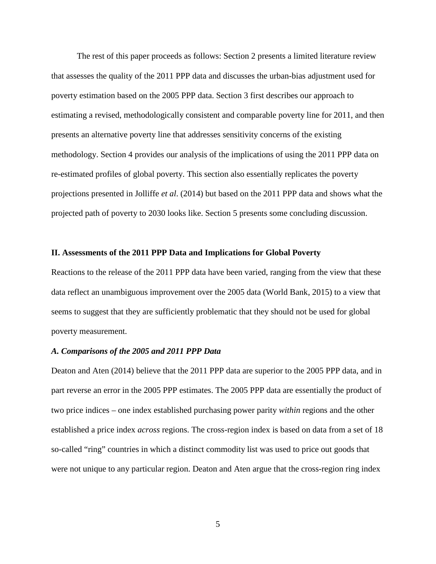The rest of this paper proceeds as follows: Section 2 presents a limited literature review that assesses the quality of the 2011 PPP data and discusses the urban-bias adjustment used for poverty estimation based on the 2005 PPP data. Section 3 first describes our approach to estimating a revised, methodologically consistent and comparable poverty line for 2011, and then presents an alternative poverty line that addresses sensitivity concerns of the existing methodology. Section 4 provides our analysis of the implications of using the 2011 PPP data on re-estimated profiles of global poverty. This section also essentially replicates the poverty projections presented in Jolliffe *et al*. (2014) but based on the 2011 PPP data and shows what the projected path of poverty to 2030 looks like. Section 5 presents some concluding discussion.

#### **II. Assessments of the 2011 PPP Data and Implications for Global Poverty**

Reactions to the release of the 2011 PPP data have been varied, ranging from the view that these data reflect an unambiguous improvement over the 2005 data (World Bank, 2015) to a view that seems to suggest that they are sufficiently problematic that they should not be used for global poverty measurement.

#### *A. Comparisons of the 2005 and 2011 PPP Data*

<span id="page-7-0"></span>Deaton and Aten (2014) believe that the 2011 PPP data are superior to the 2005 PPP data, and in part reverse an error in the 2005 PPP estimates. The 2005 PPP data are essentially the product of two price indices – one index established purchasing power parity *within* regions and the other established a price index *across* regions. The cross-region index is based on data from a set of 18 so-called "ring" countries in which a distinct commodity list was used to price out goods that were not unique to any particular region. Deaton and Aten argue that the cross-region ring index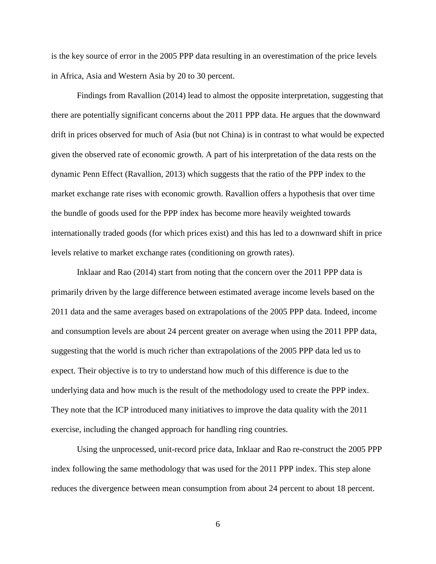is the key source of error in the 2005 PPP data resulting in an overestimation of the price levels in Africa, Asia and Western Asia by 20 to 30 percent.

Findings from Ravallion (2014) lead to almost the opposite interpretation, suggesting that there are potentially significant concerns about the 2011 PPP data. He argues that the downward drift in prices observed for much of Asia (but not China) is in contrast to what would be expected given the observed rate of economic growth. A part of his interpretation of the data rests on the dynamic Penn Effect (Ravallion, 2013) which suggests that the ratio of the PPP index to the market exchange rate rises with economic growth. Ravallion offers a hypothesis that over time the bundle of goods used for the PPP index has become more heavily weighted towards internationally traded goods (for which prices exist) and this has led to a downward shift in price levels relative to market exchange rates (conditioning on growth rates).

Inklaar and Rao (2014) start from noting that the concern over the 2011 PPP data is primarily driven by the large difference between estimated average income levels based on the 2011 data and the same averages based on extrapolations of the 2005 PPP data. Indeed, income and consumption levels are about 24 percent greater on average when using the 2011 PPP data, suggesting that the world is much richer than extrapolations of the 2005 PPP data led us to expect. Their objective is to try to understand how much of this difference is due to the underlying data and how much is the result of the methodology used to create the PPP index. They note that the ICP introduced many initiatives to improve the data quality with the 2011 exercise, including the changed approach for handling ring countries.

Using the unprocessed, unit-record price data, Inklaar and Rao re-construct the 2005 PPP index following the same methodology that was used for the 2011 PPP index. This step alone reduces the divergence between mean consumption from about 24 percent to about 18 percent.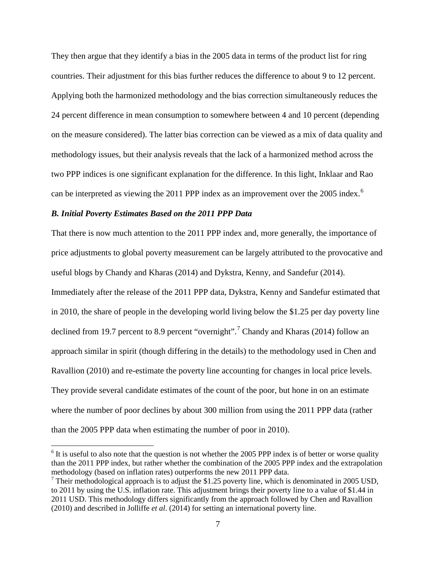They then argue that they identify a bias in the 2005 data in terms of the product list for ring countries. Their adjustment for this bias further reduces the difference to about 9 to 12 percent. Applying both the harmonized methodology and the bias correction simultaneously reduces the 24 percent difference in mean consumption to somewhere between 4 and 10 percent (depending on the measure considered). The latter bias correction can be viewed as a mix of data quality and methodology issues, but their analysis reveals that the lack of a harmonized method across the two PPP indices is one significant explanation for the difference. In this light, Inklaar and Rao can be interpreted as viewing the 2011 PPP index as an improvement over the 2005 index.<sup>[6](#page-6-0)</sup>

#### *B. Initial Poverty Estimates Based on the 2011 PPP Data*

That there is now much attention to the 2011 PPP index and, more generally, the importance of price adjustments to global poverty measurement can be largely attributed to the provocative and useful blogs by Chandy and Kharas (2014) and Dykstra, Kenny, and Sandefur (2014). Immediately after the release of the 2011 PPP data, Dykstra, Kenny and Sandefur estimated that in 2010, the share of people in the developing world living below the \$1.25 per day poverty line declined from 19.[7](#page-9-0) percent to 8.9 percent "overnight".<sup>7</sup> Chandy and Kharas (2014) follow an approach similar in spirit (though differing in the details) to the methodology used in Chen and Ravallion (2010) and re-estimate the poverty line accounting for changes in local price levels. They provide several candidate estimates of the count of the poor, but hone in on an estimate where the number of poor declines by about 300 million from using the 2011 PPP data (rather than the 2005 PPP data when estimating the number of poor in 2010).

<span id="page-9-1"></span> $6$  It is useful to also note that the question is not whether the 2005 PPP index is of better or worse quality than the 2011 PPP index, but rather whether the combination of the 2005 PPP index and the extrapolation methodology (based on inflation rates) outperforms the new 2011 PPP data.

<span id="page-9-0"></span><sup>&</sup>lt;sup>7</sup> Their methodological approach is to adjust the \$1.25 poverty line, which is denominated in 2005 USD, to 2011 by using the U.S. inflation rate. This adjustment brings their poverty line to a value of \$1.44 in 2011 USD. This methodology differs significantly from the approach followed by Chen and Ravallion (2010) and described in Jolliffe *et al*. (2014) for setting an international poverty line.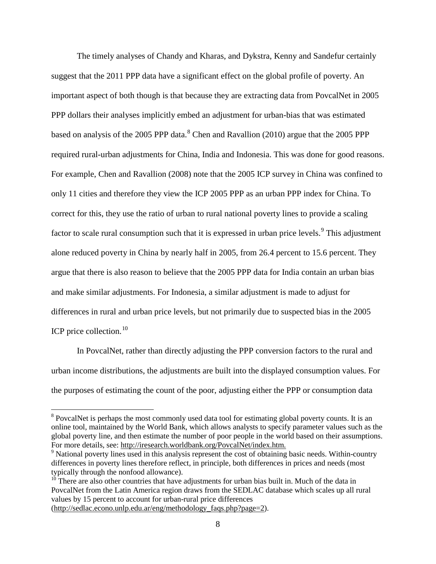The timely analyses of Chandy and Kharas, and Dykstra, Kenny and Sandefur certainly suggest that the 2011 PPP data have a significant effect on the global profile of poverty. An important aspect of both though is that because they are extracting data from PovcalNet in 2005 PPP dollars their analyses implicitly embed an adjustment for urban-bias that was estimated based on analysis of the 2005 PPP data. $8$  Chen and Ravallion (2010) argue that the 2005 PPP required rural-urban adjustments for China, India and Indonesia. This was done for good reasons. For example, Chen and Ravallion (2008) note that the 2005 ICP survey in China was confined to only 11 cities and therefore they view the ICP 2005 PPP as an urban PPP index for China. To correct for this, they use the ratio of urban to rural national poverty lines to provide a scaling factor to scale rural consumption such that it is expressed in urban price levels.<sup>[9](#page-10-0)</sup> This adjustment alone reduced poverty in China by nearly half in 2005, from 26.4 percent to 15.6 percent. They argue that there is also reason to believe that the 2005 PPP data for India contain an urban bias and make similar adjustments. For Indonesia, a similar adjustment is made to adjust for differences in rural and urban price levels, but not primarily due to suspected bias in the 2005 ICP price collection.<sup>[10](#page-10-1)</sup>

In PovcalNet, rather than directly adjusting the PPP conversion factors to the rural and urban income distributions, the adjustments are built into the displayed consumption values. For the purposes of estimating the count of the poor, adjusting either the PPP or consumption data

<sup>&</sup>lt;sup>8</sup> PovcalNet is perhaps the most commonly used data tool for estimating global poverty counts. It is an online tool, maintained by the World Bank, which allows analysts to specify parameter values such as the global poverty line, and then estimate the number of poor people in the world based on their assumptions. For more details, see: [http://iresearch.worldbank.org/PovcalNet/index.htm.](http://iresearch.worldbank.org/PovcalNet/index.htm)<br><sup>9</sup> National poverty lines used in this analysis represent the cost of obtaining basic needs. Within-country

<span id="page-10-0"></span>differences in poverty lines therefore reflect, in principle, both differences in prices and needs (most typically through the nonfood allowance).

<span id="page-10-2"></span><span id="page-10-1"></span> $10$ <sup>10</sup> There are also other countries that have adjustments for urban bias built in. Much of the data in PovcalNet from the Latin America region draws from the SEDLAC database which scales up all rural values by 15 percent to account for urban-rural price differences [\(http://sedlac.econo.unlp.edu.ar/eng/methodology\\_faqs.php?page=2\)](http://sedlac.econo.unlp.edu.ar/eng/methodology_faqs.php?page=2).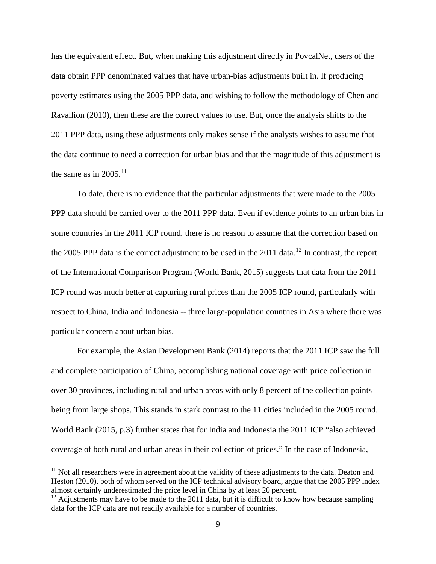has the equivalent effect. But, when making this adjustment directly in PovcalNet, users of the data obtain PPP denominated values that have urban-bias adjustments built in. If producing poverty estimates using the 2005 PPP data, and wishing to follow the methodology of Chen and Ravallion (2010), then these are the correct values to use. But, once the analysis shifts to the 2011 PPP data, using these adjustments only makes sense if the analysts wishes to assume that the data continue to need a correction for urban bias and that the magnitude of this adjustment is the same as in  $2005$ .<sup>[11](#page-10-2)</sup>

To date, there is no evidence that the particular adjustments that were made to the 2005 PPP data should be carried over to the 2011 PPP data. Even if evidence points to an urban bias in some countries in the 2011 ICP round, there is no reason to assume that the correction based on the 2005 PPP data is the correct adjustment to be used in the  $2011$  data.<sup>[12](#page-11-0)</sup> In contrast, the report of the International Comparison Program (World Bank, 2015) suggests that data from the 2011 ICP round was much better at capturing rural prices than the 2005 ICP round, particularly with respect to China, India and Indonesia -- three large-population countries in Asia where there was particular concern about urban bias.

For example, the Asian Development Bank (2014) reports that the 2011 ICP saw the full and complete participation of China, accomplishing national coverage with price collection in over 30 provinces, including rural and urban areas with only 8 percent of the collection points being from large shops. This stands in stark contrast to the 11 cities included in the 2005 round. World Bank (2015, p.3) further states that for India and Indonesia the 2011 ICP "also achieved coverage of both rural and urban areas in their collection of prices." In the case of Indonesia,

<span id="page-11-1"></span><sup>&</sup>lt;sup>11</sup> Not all researchers were in agreement about the validity of these adjustments to the data. Deaton and Heston (2010), both of whom served on the ICP technical advisory board, argue that the 2005 PPP index almost certainly underestimated the price level in China by at least 20 percent.

<span id="page-11-0"></span> $12$  Adjustments may have to be made to the 2011 data, but it is difficult to know how because sampling data for the ICP data are not readily available for a number of countries.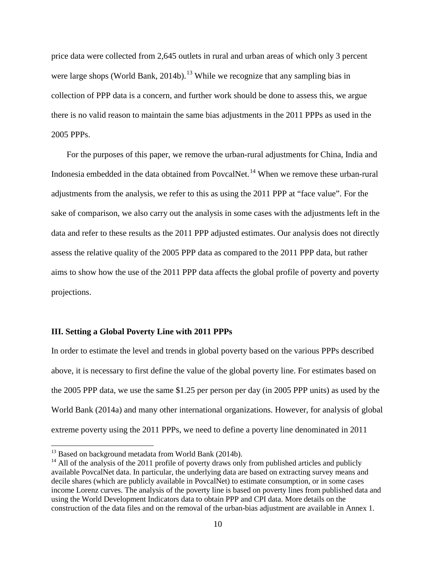price data were collected from 2,645 outlets in rural and urban areas of which only 3 percent were large shops (World Bank, 2014b).<sup>[13](#page-11-1)</sup> While we recognize that any sampling bias in collection of PPP data is a concern, and further work should be done to assess this, we argue there is no valid reason to maintain the same bias adjustments in the 2011 PPPs as used in the 2005 PPPs.

For the purposes of this paper, we remove the urban-rural adjustments for China, India and Indonesia embedded in the data obtained from PovcalNet.<sup>[14](#page-12-0)</sup> When we remove these urban-rural adjustments from the analysis, we refer to this as using the 2011 PPP at "face value". For the sake of comparison, we also carry out the analysis in some cases with the adjustments left in the data and refer to these results as the 2011 PPP adjusted estimates. Our analysis does not directly assess the relative quality of the 2005 PPP data as compared to the 2011 PPP data, but rather aims to show how the use of the 2011 PPP data affects the global profile of poverty and poverty projections.

#### **III. Setting a Global Poverty Line with 2011 PPPs**

In order to estimate the level and trends in global poverty based on the various PPPs described above, it is necessary to first define the value of the global poverty line. For estimates based on the 2005 PPP data, we use the same \$1.25 per person per day (in 2005 PPP units) as used by the World Bank (2014a) and many other international organizations. However, for analysis of global extreme poverty using the 2011 PPPs, we need to define a poverty line denominated in 2011

<sup>&</sup>lt;sup>13</sup> Based on background metadata from World Bank (2014b).

<span id="page-12-1"></span><span id="page-12-0"></span><sup>&</sup>lt;sup>14</sup> All of the analysis of the 2011 profile of poverty draws only from published articles and publicly available PovcalNet data. In particular, the underlying data are based on extracting survey means and decile shares (which are publicly available in PovcalNet) to estimate consumption, or in some cases income Lorenz curves. The analysis of the poverty line is based on poverty lines from published data and using the World Development Indicators data to obtain PPP and CPI data. More details on the construction of the data files and on the removal of the urban-bias adjustment are available in Annex 1.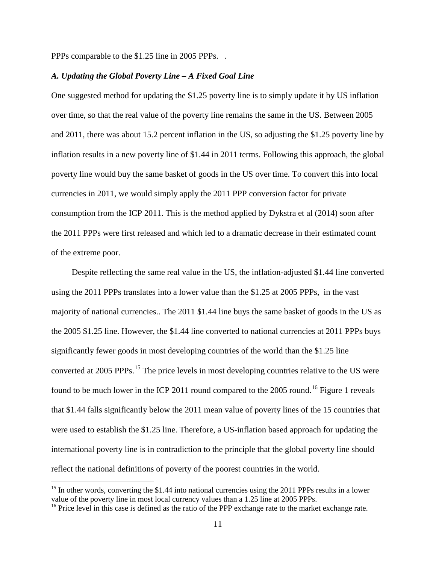PPPs comparable to the \$1.25 line in 2005 PPPs. .

#### *A. Updating the Global Poverty Line – A Fixed Goal Line*

One suggested method for updating the \$1.25 poverty line is to simply update it by US inflation over time, so that the real value of the poverty line remains the same in the US. Between 2005 and 2011, there was about 15.2 percent inflation in the US, so adjusting the \$1.25 poverty line by inflation results in a new poverty line of \$1.44 in 2011 terms. Following this approach, the global poverty line would buy the same basket of goods in the US over time. To convert this into local currencies in 2011, we would simply apply the 2011 PPP conversion factor for private consumption from the ICP 2011. This is the method applied by Dykstra et al (2014) soon after the 2011 PPPs were first released and which led to a dramatic decrease in their estimated count of the extreme poor.

Despite reflecting the same real value in the US, the inflation-adjusted \$1.44 line converted using the 2011 PPPs translates into a lower value than the \$1.25 at 2005 PPPs, in the vast majority of national currencies.. The 2011 \$1.44 line buys the same basket of goods in the US as the 2005 \$1.25 line. However, the \$1.44 line converted to national currencies at 2011 PPPs buys significantly fewer goods in most developing countries of the world than the \$1.25 line converted at 2005 PPPs.<sup>[15](#page-12-1)</sup> The price levels in most developing countries relative to the US were found to be much lower in the ICP 2011 round compared to the 2005 round.<sup>[16](#page-13-0)</sup> Figure 1 reveals that \$1.44 falls significantly below the 2011 mean value of poverty lines of the 15 countries that were used to establish the \$1.25 line. Therefore, a US-inflation based approach for updating the international poverty line is in contradiction to the principle that the global poverty line should reflect the national definitions of poverty of the poorest countries in the world.

 $15$  In other words, converting the \$1.44 into national currencies using the 2011 PPPs results in a lower value of the poverty line in most local currency values than a 1.25 line at 2005 PPPs.

<span id="page-13-0"></span><sup>&</sup>lt;sup>16</sup> Price level in this case is defined as the ratio of the PPP exchange rate to the market exchange rate.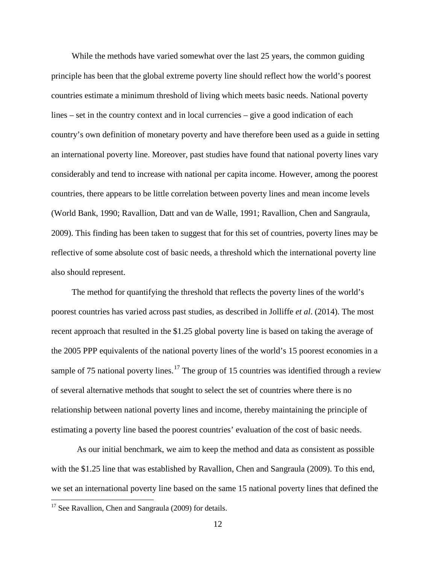While the methods have varied somewhat over the last 25 years, the common guiding principle has been that the global extreme poverty line should reflect how the world's poorest countries estimate a minimum threshold of living which meets basic needs. National poverty lines – set in the country context and in local currencies – give a good indication of each country's own definition of monetary poverty and have therefore been used as a guide in setting an international poverty line. Moreover, past studies have found that national poverty lines vary considerably and tend to increase with national per capita income. However, among the poorest countries, there appears to be little correlation between poverty lines and mean income levels (World Bank, 1990; Ravallion, Datt and van de Walle, 1991; Ravallion, Chen and Sangraula, 2009). This finding has been taken to suggest that for this set of countries, poverty lines may be reflective of some absolute cost of basic needs, a threshold which the international poverty line also should represent.

The method for quantifying the threshold that reflects the poverty lines of the world's poorest countries has varied across past studies, as described in Jolliffe *et al*. (2014). The most recent approach that resulted in the \$1.25 global poverty line is based on taking the average of the 2005 PPP equivalents of the national poverty lines of the world's 15 poorest economies in a sample of 75 national poverty lines.<sup>[17](#page-13-0)</sup> The group of 15 countries was identified through a review of several alternative methods that sought to select the set of countries where there is no relationship between national poverty lines and income, thereby maintaining the principle of estimating a poverty line based the poorest countries' evaluation of the cost of basic needs.

<span id="page-14-0"></span>As our initial benchmark, we aim to keep the method and data as consistent as possible with the \$1.25 line that was established by Ravallion, Chen and Sangraula (2009). To this end, we set an international poverty line based on the same 15 national poverty lines that defined the

<sup>&</sup>lt;sup>17</sup> See Ravallion, Chen and Sangraula (2009) for details.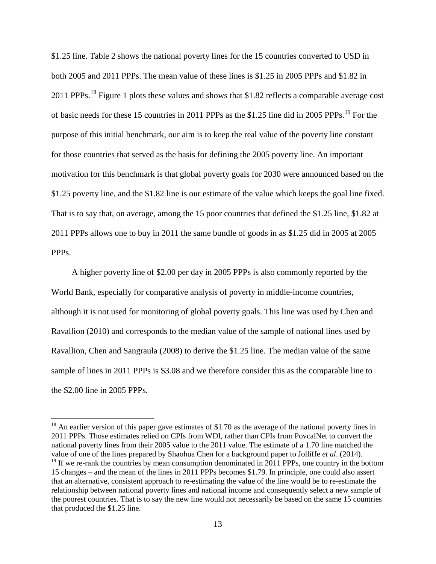\$1.25 line. Table 2 shows the national poverty lines for the 15 countries converted to USD in both 2005 and 2011 PPPs. The mean value of these lines is \$1.25 in 2005 PPPs and \$1.82 in 2011 PPPs.<sup>[18](#page-14-0)</sup> Figure 1 plots these values and shows that \$1.82 reflects a comparable average cost of basic needs for these 15 countries in 2011 PPPs as the \$1.25 line did in 2005 PPPs.<sup>[19](#page-15-0)</sup> For the purpose of this initial benchmark, our aim is to keep the real value of the poverty line constant for those countries that served as the basis for defining the 2005 poverty line. An important motivation for this benchmark is that global poverty goals for 2030 were announced based on the \$1.25 poverty line, and the \$1.82 line is our estimate of the value which keeps the goal line fixed. That is to say that, on average, among the 15 poor countries that defined the \$1.25 line, \$1.82 at 2011 PPPs allows one to buy in 2011 the same bundle of goods in as \$1.25 did in 2005 at 2005 PPPs.

A higher poverty line of \$2.00 per day in 2005 PPPs is also commonly reported by the World Bank, especially for comparative analysis of poverty in middle-income countries, although it is not used for monitoring of global poverty goals. This line was used by Chen and Ravallion (2010) and corresponds to the median value of the sample of national lines used by Ravallion, Chen and Sangraula (2008) to derive the \$1.25 line. The median value of the same sample of lines in 2011 PPPs is \$3.08 and we therefore consider this as the comparable line to the \$2.00 line in 2005 PPPs.

<sup>&</sup>lt;sup>18</sup> An earlier version of this paper gave estimates of \$1.70 as the average of the national poverty lines in 2011 PPPs. Those estimates relied on CPIs from WDI, rather than CPIs from PovcalNet to convert the national poverty lines from their 2005 value to the 2011 value. The estimate of a 1.70 line matched the value of one of the lines prepared by Shaohua Chen for a background paper to Jolliffe *et al.* (2014).<br><sup>19</sup> If we re-rank the countries by mean consumption denominated in 2011 PPPs, one country in the bottom

<span id="page-15-0"></span><sup>15</sup> changes – and the mean of the lines in 2011 PPPs becomes \$1.79. In principle, one could also assert that an alternative, consistent approach to re-estimating the value of the line would be to re-estimate the relationship between national poverty lines and national income and consequently select a new sample of the poorest countries. That is to say the new line would not necessarily be based on the same 15 countries that produced the \$1.25 line.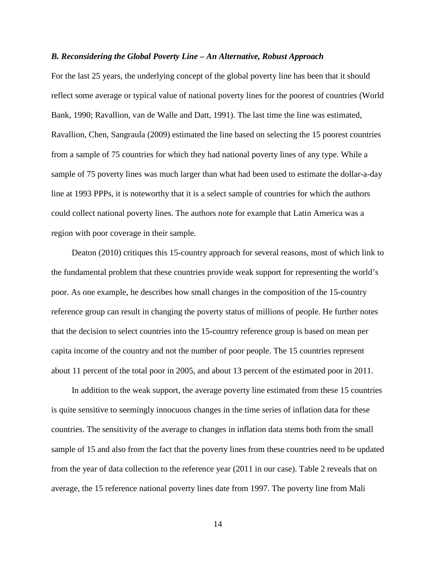#### *B. Reconsidering the Global Poverty Line – An Alternative, Robust Approach*

For the last 25 years, the underlying concept of the global poverty line has been that it should reflect some average or typical value of national poverty lines for the poorest of countries (World Bank, 1990; Ravallion, van de Walle and Datt, 1991). The last time the line was estimated, Ravallion, Chen, Sangraula (2009) estimated the line based on selecting the 15 poorest countries from a sample of 75 countries for which they had national poverty lines of any type. While a sample of 75 poverty lines was much larger than what had been used to estimate the dollar-a-day line at 1993 PPPs, it is noteworthy that it is a select sample of countries for which the authors could collect national poverty lines. The authors note for example that Latin America was a region with poor coverage in their sample.

Deaton (2010) critiques this 15-country approach for several reasons, most of which link to the fundamental problem that these countries provide weak support for representing the world's poor. As one example, he describes how small changes in the composition of the 15-country reference group can result in changing the poverty status of millions of people. He further notes that the decision to select countries into the 15-country reference group is based on mean per capita income of the country and not the number of poor people. The 15 countries represent about 11 percent of the total poor in 2005, and about 13 percent of the estimated poor in 2011.

In addition to the weak support, the average poverty line estimated from these 15 countries is quite sensitive to seemingly innocuous changes in the time series of inflation data for these countries. The sensitivity of the average to changes in inflation data stems both from the small sample of 15 and also from the fact that the poverty lines from these countries need to be updated from the year of data collection to the reference year (2011 in our case). Table 2 reveals that on average, the 15 reference national poverty lines date from 1997. The poverty line from Mali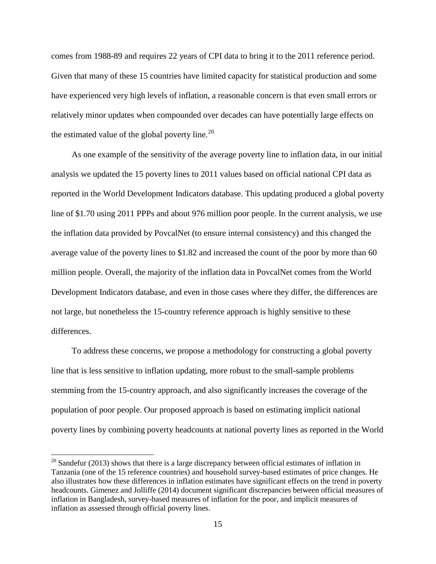comes from 1988-89 and requires 22 years of CPI data to bring it to the 2011 reference period. Given that many of these 15 countries have limited capacity for statistical production and some have experienced very high levels of inflation, a reasonable concern is that even small errors or relatively minor updates when compounded over decades can have potentially large effects on the estimated value of the global poverty line.<sup>[20](#page-15-0)</sup>

As one example of the sensitivity of the average poverty line to inflation data, in our initial analysis we updated the 15 poverty lines to 2011 values based on official national CPI data as reported in the World Development Indicators database. This updating produced a global poverty line of \$1.70 using 2011 PPPs and about 976 million poor people. In the current analysis, we use the inflation data provided by PovcalNet (to ensure internal consistency) and this changed the average value of the poverty lines to \$1.82 and increased the count of the poor by more than 60 million people. Overall, the majority of the inflation data in PovcalNet comes from the World Development Indicators database, and even in those cases where they differ, the differences are not large, but nonetheless the 15-country reference approach is highly sensitive to these differences.

<span id="page-17-0"></span>To address these concerns, we propose a methodology for constructing a global poverty line that is less sensitive to inflation updating, more robust to the small-sample problems stemming from the 15-country approach, and also significantly increases the coverage of the population of poor people. Our proposed approach is based on estimating implicit national poverty lines by combining poverty headcounts at national poverty lines as reported in the World

 $20$  Sandefur (2013) shows that there is a large discrepancy between official estimates of inflation in Tanzania (one of the 15 reference countries) and household survey-based estimates of price changes. He also illustrates how these differences in inflation estimates have significant effects on the trend in poverty headcounts. Gimenez and Jolliffe (2014) document significant discrepancies between official measures of inflation in Bangladesh, survey-based measures of inflation for the poor, and implicit measures of inflation as assessed through official poverty lines.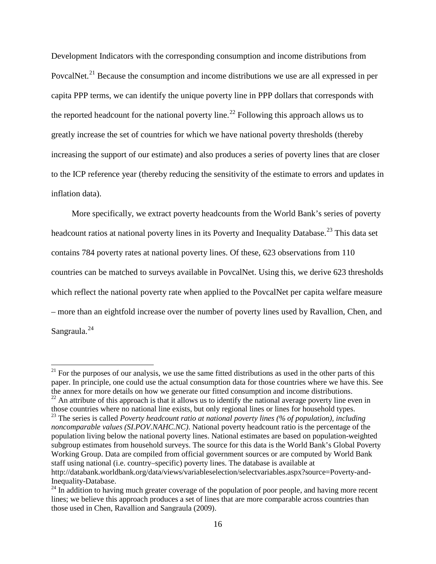Development Indicators with the corresponding consumption and income distributions from PovcalNet.<sup>[21](#page-17-0)</sup> Because the consumption and income distributions we use are all expressed in per capita PPP terms, we can identify the unique poverty line in PPP dollars that corresponds with the reported headcount for the national poverty line.<sup>[22](#page-18-0)</sup> Following this approach allows us to greatly increase the set of countries for which we have national poverty thresholds (thereby increasing the support of our estimate) and also produces a series of poverty lines that are closer to the ICP reference year (thereby reducing the sensitivity of the estimate to errors and updates in inflation data).

More specifically, we extract poverty headcounts from the World Bank's series of poverty headcount ratios at national poverty lines in its Poverty and Inequality Database.<sup>[23](#page-18-1)</sup> This data set contains 784 poverty rates at national poverty lines. Of these, 623 observations from 110 countries can be matched to surveys available in PovcalNet. Using this, we derive 623 thresholds which reflect the national poverty rate when applied to the PovcalNet per capita welfare measure – more than an eightfold increase over the number of poverty lines used by Ravallion, Chen, and Sangraula.<sup>[24](#page-18-2)</sup>

 $21$  For the purposes of our analysis, we use the same fitted distributions as used in the other parts of this paper. In principle, one could use the actual consumption data for those countries where we have this. See the annex for more details on how we generate our fitted consumption and income distributions.

<span id="page-18-0"></span> $22$  An attribute of this approach is that it allows us to identify the national average poverty line even in those countries where no national line exists, but only regional lines or lines for household types.

<span id="page-18-1"></span><sup>&</sup>lt;sup>23</sup> The series is called *Poverty headcount ratio at national poverty lines (% of population), including noncomparable values (SI.POV.NAHC.NC)*. National poverty headcount ratio is the percentage of the population living below the national poverty lines. National estimates are based on population-weighted subgroup estimates from household surveys. The source for this data is the World Bank's Global Poverty Working Group. Data are compiled from official government sources or are computed by World Bank staff using national (i.e. country–specific) poverty lines. The database is available at http://databank.worldbank.org/data/views/variableselection/selectvariables.aspx?source=Poverty-and-Inequality-Database.

<span id="page-18-3"></span><span id="page-18-2"></span><sup>&</sup>lt;sup>24</sup> In addition to having much greater coverage of the population of poor people, and having more recent lines; we believe this approach produces a set of lines that are more comparable across countries than those used in Chen, Ravallion and Sangraula (2009).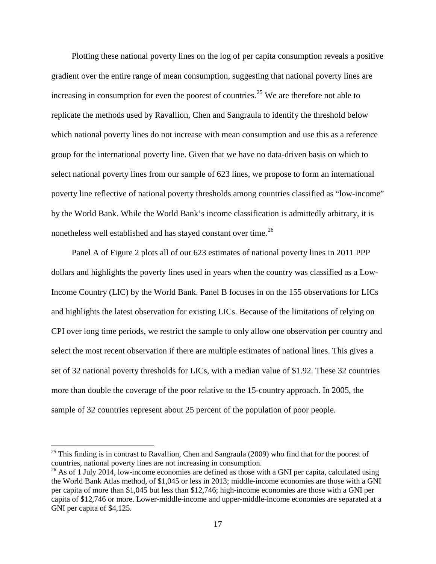Plotting these national poverty lines on the log of per capita consumption reveals a positive gradient over the entire range of mean consumption, suggesting that national poverty lines are increasing in consumption for even the poorest of countries.<sup>[25](#page-18-3)</sup> We are therefore not able to replicate the methods used by Ravallion, Chen and Sangraula to identify the threshold below which national poverty lines do not increase with mean consumption and use this as a reference group for the international poverty line. Given that we have no data-driven basis on which to select national poverty lines from our sample of 623 lines, we propose to form an international poverty line reflective of national poverty thresholds among countries classified as "low-income" by the World Bank. While the World Bank's income classification is admittedly arbitrary, it is nonetheless well established and has stayed constant over time.<sup>[26](#page-19-0)</sup>

Panel A of Figure 2 plots all of our 623 estimates of national poverty lines in 2011 PPP dollars and highlights the poverty lines used in years when the country was classified as a Low-Income Country (LIC) by the World Bank. Panel B focuses in on the 155 observations for LICs and highlights the latest observation for existing LICs. Because of the limitations of relying on CPI over long time periods, we restrict the sample to only allow one observation per country and select the most recent observation if there are multiple estimates of national lines. This gives a set of 32 national poverty thresholds for LICs, with a median value of \$1.92. These 32 countries more than double the coverage of the poor relative to the 15-country approach. In 2005, the sample of 32 countries represent about 25 percent of the population of poor people.

<span id="page-19-1"></span> $25$  This finding is in contrast to Ravallion, Chen and Sangraula (2009) who find that for the poorest of countries, national poverty lines are not increasing in consumption.

<span id="page-19-0"></span><sup>&</sup>lt;sup>26</sup> As of 1 July 2014, low-income economies are defined as those with a GNI per capita, calculated using the World Bank Atlas method, of \$1,045 or less in 2013; middle-income economies are those with a GNI per capita of more than \$1,045 but less than \$12,746; high-income economies are those with a GNI per capita of \$12,746 or more. Lower-middle-income and upper-middle-income economies are separated at a GNI per capita of \$4,125.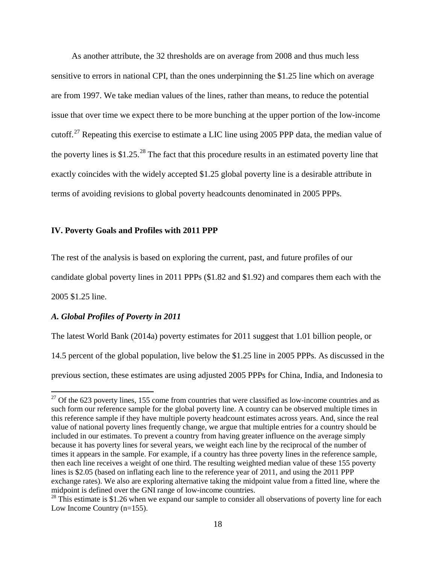As another attribute, the 32 thresholds are on average from 2008 and thus much less sensitive to errors in national CPI, than the ones underpinning the \$1.25 line which on average are from 1997. We take median values of the lines, rather than means, to reduce the potential issue that over time we expect there to be more bunching at the upper portion of the low-income cutoff.[27](#page-19-1) Repeating this exercise to estimate a LIC line using 2005 PPP data, the median value of the poverty lines is \$1.25.<sup>[28](#page-20-0)</sup> The fact that this procedure results in an estimated poverty line that exactly coincides with the widely accepted \$1.25 global poverty line is a desirable attribute in terms of avoiding revisions to global poverty headcounts denominated in 2005 PPPs.

#### **IV. Poverty Goals and Profiles with 2011 PPP**

The rest of the analysis is based on exploring the current, past, and future profiles of our

candidate global poverty lines in 2011 PPPs (\$1.82 and \$1.92) and compares them each with the

2005 \$1.25 line.

#### *A. Global Profiles of Poverty in 2011*

The latest World Bank (2014a) poverty estimates for 2011 suggest that 1.01 billion people, or 14.5 percent of the global population, live below the \$1.25 line in 2005 PPPs. As discussed in the previous section, these estimates are using adjusted 2005 PPPs for China, India, and Indonesia to

 $27$  Of the 623 poverty lines, 155 come from countries that were classified as low-income countries and as such form our reference sample for the global poverty line. A country can be observed multiple times in this reference sample if they have multiple poverty headcount estimates across years. And, since the real value of national poverty lines frequently change, we argue that multiple entries for a country should be included in our estimates. To prevent a country from having greater influence on the average simply because it has poverty lines for several years, we weight each line by the reciprocal of the number of times it appears in the sample. For example, if a country has three poverty lines in the reference sample, then each line receives a weight of one third. The resulting weighted median value of these 155 poverty lines is \$2.05 (based on inflating each line to the reference year of 2011, and using the 2011 PPP exchange rates). We also are exploring alternative taking the midpoint value from a fitted line, where the midpoint is defined over the GNI range of low-income countries.

<span id="page-20-1"></span><span id="page-20-0"></span> $28$  This estimate is \$1.26 when we expand our sample to consider all observations of poverty line for each Low Income Country (n=155).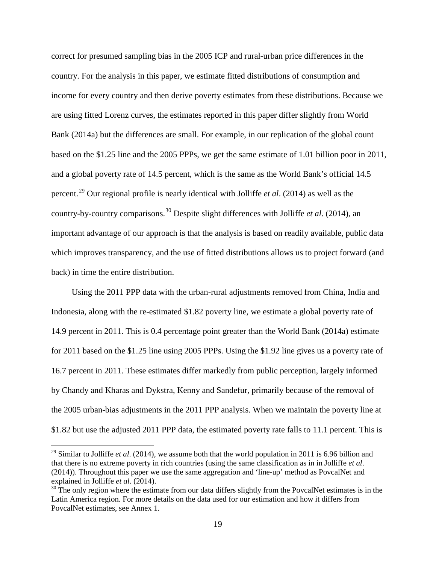correct for presumed sampling bias in the 2005 ICP and rural-urban price differences in the country. For the analysis in this paper, we estimate fitted distributions of consumption and income for every country and then derive poverty estimates from these distributions. Because we are using fitted Lorenz curves, the estimates reported in this paper differ slightly from World Bank (2014a) but the differences are small. For example, in our replication of the global count based on the \$1.25 line and the 2005 PPPs, we get the same estimate of 1.01 billion poor in 2011, and a global poverty rate of 14.5 percent, which is the same as the World Bank's official 14.5 percent.[29](#page-20-1) Our regional profile is nearly identical with Jolliffe *et al*. (2014) as well as the country-by-country comparisons.[30](#page-21-0) Despite slight differences with Jolliffe *et al*. (2014), an important advantage of our approach is that the analysis is based on readily available, public data which improves transparency, and the use of fitted distributions allows us to project forward (and back) in time the entire distribution.

Using the 2011 PPP data with the urban-rural adjustments removed from China, India and Indonesia, along with the re-estimated \$1.82 poverty line, we estimate a global poverty rate of 14.9 percent in 2011. This is 0.4 percentage point greater than the World Bank (2014a) estimate for 2011 based on the \$1.25 line using 2005 PPPs. Using the \$1.92 line gives us a poverty rate of 16.7 percent in 2011. These estimates differ markedly from public perception, largely informed by Chandy and Kharas and Dykstra, Kenny and Sandefur, primarily because of the removal of the 2005 urban-bias adjustments in the 2011 PPP analysis. When we maintain the poverty line at \$1.82 but use the adjusted 2011 PPP data, the estimated poverty rate falls to 11.1 percent. This is

<sup>&</sup>lt;sup>29</sup> Similar to Jolliffe *et al.* (2014), we assume both that the world population in 2011 is 6.96 billion and that there is no extreme poverty in rich countries (using the same classification as in in Jolliffe *et al*. (2014)). Throughout this paper we use the same aggregation and 'line-up' method as PovcalNet and explained in Jolliffe *et al.* (2014).<br><sup>30</sup> The only region where the estimate from our data differs slightly from the PovcalNet estimates is in the

<span id="page-21-1"></span><span id="page-21-0"></span>Latin America region. For more details on the data used for our estimation and how it differs from PovcalNet estimates, see Annex 1.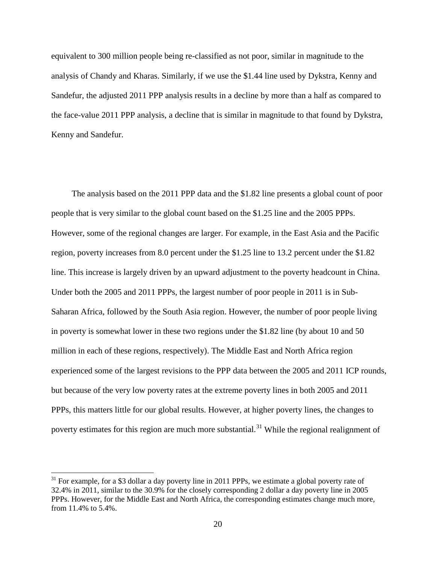equivalent to 300 million people being re-classified as not poor, similar in magnitude to the analysis of Chandy and Kharas. Similarly, if we use the \$1.44 line used by Dykstra, Kenny and Sandefur, the adjusted 2011 PPP analysis results in a decline by more than a half as compared to the face-value 2011 PPP analysis, a decline that is similar in magnitude to that found by Dykstra, Kenny and Sandefur.

The analysis based on the 2011 PPP data and the \$1.82 line presents a global count of poor people that is very similar to the global count based on the \$1.25 line and the 2005 PPPs. However, some of the regional changes are larger. For example, in the East Asia and the Pacific region, poverty increases from 8.0 percent under the \$1.25 line to 13.2 percent under the \$1.82 line. This increase is largely driven by an upward adjustment to the poverty headcount in China. Under both the 2005 and 2011 PPPs, the largest number of poor people in 2011 is in Sub-Saharan Africa, followed by the South Asia region. However, the number of poor people living in poverty is somewhat lower in these two regions under the \$1.82 line (by about 10 and 50 million in each of these regions, respectively). The Middle East and North Africa region experienced some of the largest revisions to the PPP data between the 2005 and 2011 ICP rounds, but because of the very low poverty rates at the extreme poverty lines in both 2005 and 2011 PPPs, this matters little for our global results. However, at higher poverty lines, the changes to poverty estimates for this region are much more substantial.<sup>[31](#page-21-1)</sup> While the regional realignment of

<span id="page-22-0"></span> $31$  For example, for a \$3 dollar a day poverty line in 2011 PPPs, we estimate a global poverty rate of 32.4% in 2011, similar to the 30.9% for the closely corresponding 2 dollar a day poverty line in 2005 PPPs. However, for the Middle East and North Africa, the corresponding estimates change much more, from 11.4% to 5.4%.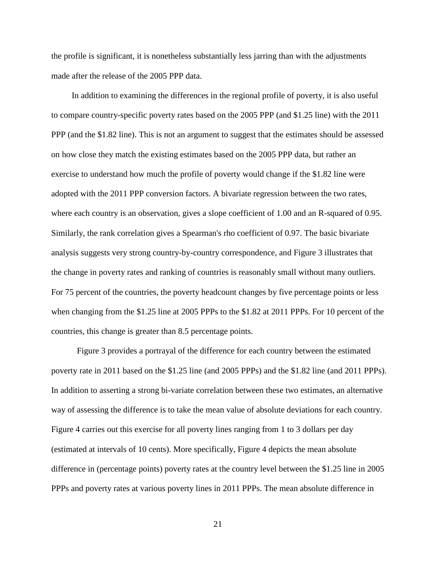the profile is significant, it is nonetheless substantially less jarring than with the adjustments made after the release of the 2005 PPP data.

In addition to examining the differences in the regional profile of poverty, it is also useful to compare country-specific poverty rates based on the 2005 PPP (and \$1.25 line) with the 2011 PPP (and the \$1.82 line). This is not an argument to suggest that the estimates should be assessed on how close they match the existing estimates based on the 2005 PPP data, but rather an exercise to understand how much the profile of poverty would change if the \$1.82 line were adopted with the 2011 PPP conversion factors. A bivariate regression between the two rates, where each country is an observation, gives a slope coefficient of 1.00 and an R-squared of 0.95. Similarly, the rank correlation gives a Spearman's rho coefficient of 0.97. The basic bivariate analysis suggests very strong country-by-country correspondence, and Figure 3 illustrates that the change in poverty rates and ranking of countries is reasonably small without many outliers. For 75 percent of the countries, the poverty headcount changes by five percentage points or less when changing from the \$1.25 line at 2005 PPPs to the \$1.82 at 2011 PPPs. For 10 percent of the countries, this change is greater than 8.5 percentage points.

Figure 3 provides a portrayal of the difference for each country between the estimated poverty rate in 2011 based on the \$1.25 line (and 2005 PPPs) and the \$1.82 line (and 2011 PPPs). In addition to asserting a strong bi-variate correlation between these two estimates, an alternative way of assessing the difference is to take the mean value of absolute deviations for each country. Figure 4 carries out this exercise for all poverty lines ranging from 1 to 3 dollars per day (estimated at intervals of 10 cents). More specifically, Figure 4 depicts the mean absolute difference in (percentage points) poverty rates at the country level between the \$1.25 line in 2005 PPPs and poverty rates at various poverty lines in 2011 PPPs. The mean absolute difference in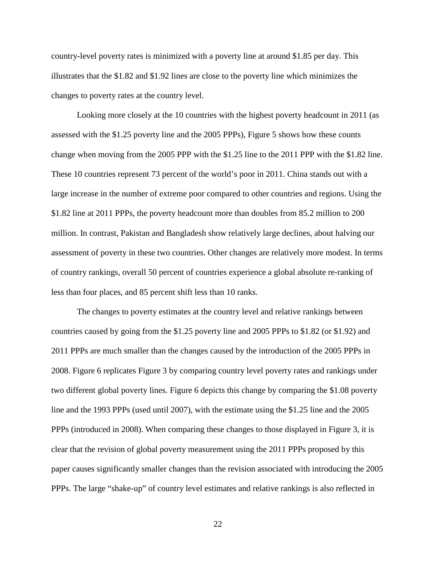country-level poverty rates is minimized with a poverty line at around \$1.85 per day. This illustrates that the \$1.82 and \$1.92 lines are close to the poverty line which minimizes the changes to poverty rates at the country level.

Looking more closely at the 10 countries with the highest poverty headcount in 2011 (as assessed with the \$1.25 poverty line and the 2005 PPPs), Figure 5 shows how these counts change when moving from the 2005 PPP with the \$1.25 line to the 2011 PPP with the \$1.82 line. These 10 countries represent 73 percent of the world's poor in 2011. China stands out with a large increase in the number of extreme poor compared to other countries and regions. Using the \$1.82 line at 2011 PPPs, the poverty headcount more than doubles from 85.2 million to 200 million. In contrast, Pakistan and Bangladesh show relatively large declines, about halving our assessment of poverty in these two countries. Other changes are relatively more modest. In terms of country rankings, overall 50 percent of countries experience a global absolute re-ranking of less than four places, and 85 percent shift less than 10 ranks.

The changes to poverty estimates at the country level and relative rankings between countries caused by going from the \$1.25 poverty line and 2005 PPPs to \$1.82 (or \$1.92) and 2011 PPPs are much smaller than the changes caused by the introduction of the 2005 PPPs in 2008. Figure 6 replicates Figure 3 by comparing country level poverty rates and rankings under two different global poverty lines. Figure 6 depicts this change by comparing the \$1.08 poverty line and the 1993 PPPs (used until 2007), with the estimate using the \$1.25 line and the 2005 PPPs (introduced in 2008). When comparing these changes to those displayed in Figure 3, it is clear that the revision of global poverty measurement using the 2011 PPPs proposed by this paper causes significantly smaller changes than the revision associated with introducing the 2005 PPPs. The large "shake-up" of country level estimates and relative rankings is also reflected in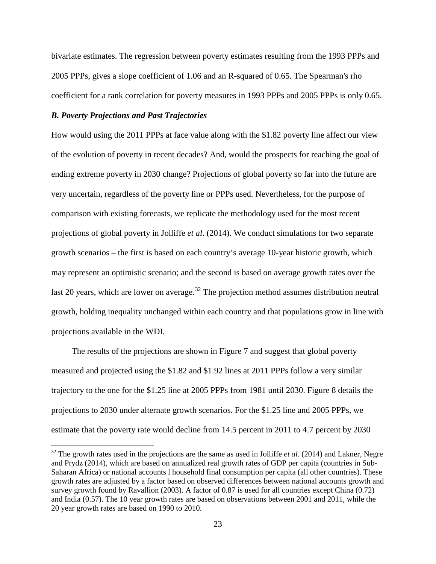bivariate estimates. The regression between poverty estimates resulting from the 1993 PPPs and 2005 PPPs, gives a slope coefficient of 1.06 and an R-squared of 0.65. The Spearman's rho coefficient for a rank correlation for poverty measures in 1993 PPPs and 2005 PPPs is only 0.65.

#### *B. Poverty Projections and Past Trajectories*

How would using the 2011 PPPs at face value along with the \$1.82 poverty line affect our view of the evolution of poverty in recent decades? And, would the prospects for reaching the goal of ending extreme poverty in 2030 change? Projections of global poverty so far into the future are very uncertain, regardless of the poverty line or PPPs used. Nevertheless, for the purpose of comparison with existing forecasts, we replicate the methodology used for the most recent projections of global poverty in Jolliffe *et al*. (2014). We conduct simulations for two separate growth scenarios – the first is based on each country's average 10-year historic growth, which may represent an optimistic scenario; and the second is based on average growth rates over the last 20 years, which are lower on average.<sup>[32](#page-22-0)</sup> The projection method assumes distribution neutral growth, holding inequality unchanged within each country and that populations grow in line with projections available in the WDI.

The results of the projections are shown in Figure 7 and suggest that global poverty measured and projected using the \$1.82 and \$1.92 lines at 2011 PPPs follow a very similar trajectory to the one for the \$1.25 line at 2005 PPPs from 1981 until 2030. Figure 8 details the projections to 2030 under alternate growth scenarios. For the \$1.25 line and 2005 PPPs, we estimate that the poverty rate would decline from 14.5 percent in 2011 to 4.7 percent by 2030

<span id="page-25-0"></span><sup>&</sup>lt;sup>32</sup> The growth rates used in the projections are the same as used in Jolliffe *et al.* (2014) and Lakner, Negre and Prydz (2014), which are based on annualized real growth rates of GDP per capita (countries in Sub-Saharan Africa) or national accounts l household final consumption per capita (all other countries). These growth rates are adjusted by a factor based on observed differences between national accounts growth and survey growth found by Ravallion (2003). A factor of 0.87 is used for all countries except China (0.72) and India (0.57). The 10 year growth rates are based on observations between 2001 and 2011, while the 20 year growth rates are based on 1990 to 2010.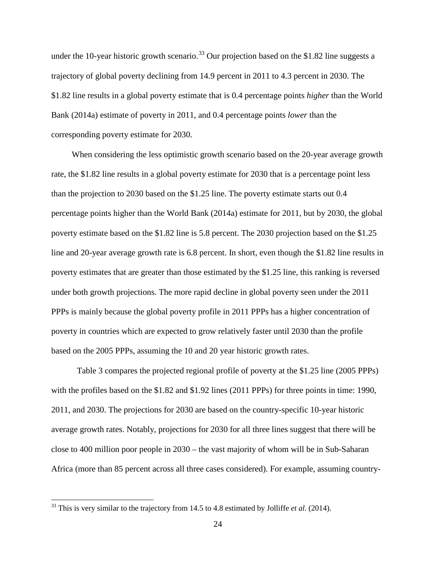under the 10-year historic growth scenario.<sup>[33](#page-25-0)</sup> Our projection based on the \$1.82 line suggests a trajectory of global poverty declining from 14.9 percent in 2011 to 4.3 percent in 2030. The \$1.82 line results in a global poverty estimate that is 0.4 percentage points *higher* than the World Bank (2014a) estimate of poverty in 2011, and 0.4 percentage points *lower* than the corresponding poverty estimate for 2030.

When considering the less optimistic growth scenario based on the 20-year average growth rate, the \$1.82 line results in a global poverty estimate for 2030 that is a percentage point less than the projection to 2030 based on the \$1.25 line. The poverty estimate starts out 0.4 percentage points higher than the World Bank (2014a) estimate for 2011, but by 2030, the global poverty estimate based on the \$1.82 line is 5.8 percent. The 2030 projection based on the \$1.25 line and 20-year average growth rate is 6.8 percent. In short, even though the \$1.82 line results in poverty estimates that are greater than those estimated by the \$1.25 line, this ranking is reversed under both growth projections. The more rapid decline in global poverty seen under the 2011 PPPs is mainly because the global poverty profile in 2011 PPPs has a higher concentration of poverty in countries which are expected to grow relatively faster until 2030 than the profile based on the 2005 PPPs, assuming the 10 and 20 year historic growth rates.

Table 3 compares the projected regional profile of poverty at the \$1.25 line (2005 PPPs) with the profiles based on the \$1.82 and \$1.92 lines (2011 PPPs) for three points in time: 1990, 2011, and 2030. The projections for 2030 are based on the country-specific 10-year historic average growth rates. Notably, projections for 2030 for all three lines suggest that there will be close to 400 million poor people in 2030 – the vast majority of whom will be in Sub-Saharan Africa (more than 85 percent across all three cases considered). For example, assuming country-

<span id="page-26-0"></span><sup>33</sup> This is very similar to the trajectory from 14.5 to 4.8 estimated by Jolliffe *et al*. (2014).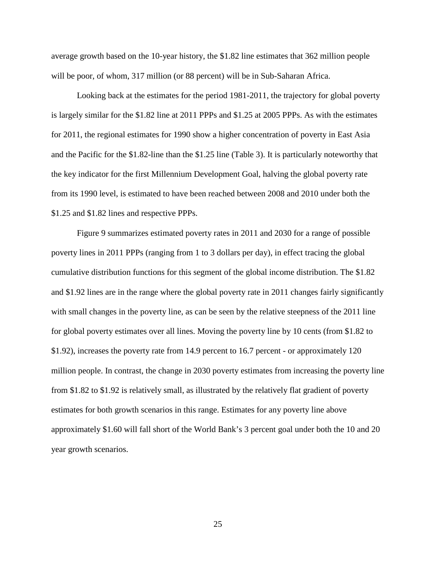average growth based on the 10-year history, the \$1.82 line estimates that 362 million people will be poor, of whom, 317 million (or 88 percent) will be in Sub-Saharan Africa.

Looking back at the estimates for the period 1981-2011, the trajectory for global poverty is largely similar for the \$1.82 line at 2011 PPPs and \$1.25 at 2005 PPPs. As with the estimates for 2011, the regional estimates for 1990 show a higher concentration of poverty in East Asia and the Pacific for the \$1.82-line than the \$1.25 line (Table 3). It is particularly noteworthy that the key indicator for the first Millennium Development Goal, halving the global poverty rate from its 1990 level, is estimated to have been reached between 2008 and 2010 under both the \$1.25 and \$1.82 lines and respective PPPs.

Figure 9 summarizes estimated poverty rates in 2011 and 2030 for a range of possible poverty lines in 2011 PPPs (ranging from 1 to 3 dollars per day), in effect tracing the global cumulative distribution functions for this segment of the global income distribution. The \$1.82 and \$1.92 lines are in the range where the global poverty rate in 2011 changes fairly significantly with small changes in the poverty line, as can be seen by the relative steepness of the 2011 line for global poverty estimates over all lines. Moving the poverty line by 10 cents (from \$1.82 to \$1.92), increases the poverty rate from 14.9 percent to 16.7 percent - or approximately 120 million people. In contrast, the change in 2030 poverty estimates from increasing the poverty line from \$1.82 to \$1.92 is relatively small, as illustrated by the relatively flat gradient of poverty estimates for both growth scenarios in this range. Estimates for any poverty line above approximately \$1.60 will fall short of the World Bank's 3 percent goal under both the 10 and 20 year growth scenarios.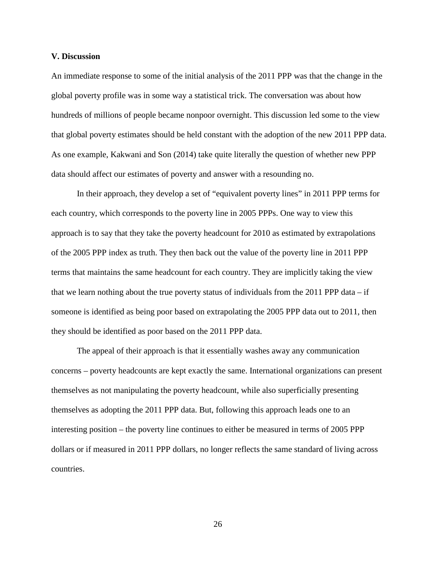#### **V. Discussion**

An immediate response to some of the initial analysis of the 2011 PPP was that the change in the global poverty profile was in some way a statistical trick. The conversation was about how hundreds of millions of people became nonpoor overnight. This discussion led some to the view that global poverty estimates should be held constant with the adoption of the new 2011 PPP data. As one example, Kakwani and Son (2014) take quite literally the question of whether new PPP data should affect our estimates of poverty and answer with a resounding no.

In their approach, they develop a set of "equivalent poverty lines" in 2011 PPP terms for each country, which corresponds to the poverty line in 2005 PPPs. One way to view this approach is to say that they take the poverty headcount for 2010 as estimated by extrapolations of the 2005 PPP index as truth. They then back out the value of the poverty line in 2011 PPP terms that maintains the same headcount for each country. They are implicitly taking the view that we learn nothing about the true poverty status of individuals from the  $2011$  PPP data – if someone is identified as being poor based on extrapolating the 2005 PPP data out to 2011, then they should be identified as poor based on the 2011 PPP data.

The appeal of their approach is that it essentially washes away any communication concerns – poverty headcounts are kept exactly the same. International organizations can present themselves as not manipulating the poverty headcount, while also superficially presenting themselves as adopting the 2011 PPP data. But, following this approach leads one to an interesting position – the poverty line continues to either be measured in terms of 2005 PPP dollars or if measured in 2011 PPP dollars, no longer reflects the same standard of living across countries.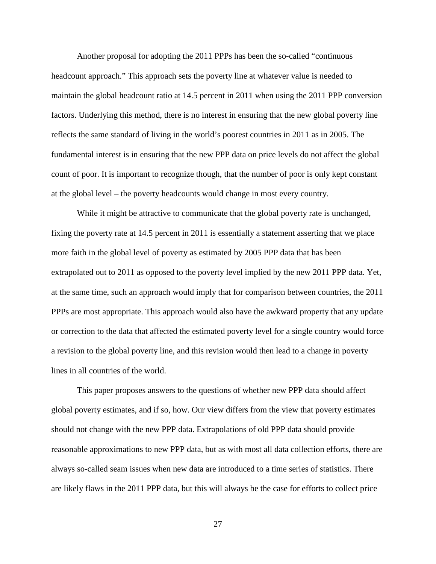Another proposal for adopting the 2011 PPPs has been the so-called "continuous headcount approach." This approach sets the poverty line at whatever value is needed to maintain the global headcount ratio at 14.5 percent in 2011 when using the 2011 PPP conversion factors. Underlying this method, there is no interest in ensuring that the new global poverty line reflects the same standard of living in the world's poorest countries in 2011 as in 2005. The fundamental interest is in ensuring that the new PPP data on price levels do not affect the global count of poor. It is important to recognize though, that the number of poor is only kept constant at the global level – the poverty headcounts would change in most every country.

While it might be attractive to communicate that the global poverty rate is unchanged, fixing the poverty rate at 14.5 percent in 2011 is essentially a statement asserting that we place more faith in the global level of poverty as estimated by 2005 PPP data that has been extrapolated out to 2011 as opposed to the poverty level implied by the new 2011 PPP data. Yet, at the same time, such an approach would imply that for comparison between countries, the 2011 PPPs are most appropriate. This approach would also have the awkward property that any update or correction to the data that affected the estimated poverty level for a single country would force a revision to the global poverty line, and this revision would then lead to a change in poverty lines in all countries of the world.

This paper proposes answers to the questions of whether new PPP data should affect global poverty estimates, and if so, how. Our view differs from the view that poverty estimates should not change with the new PPP data. Extrapolations of old PPP data should provide reasonable approximations to new PPP data, but as with most all data collection efforts, there are always so-called seam issues when new data are introduced to a time series of statistics. There are likely flaws in the 2011 PPP data, but this will always be the case for efforts to collect price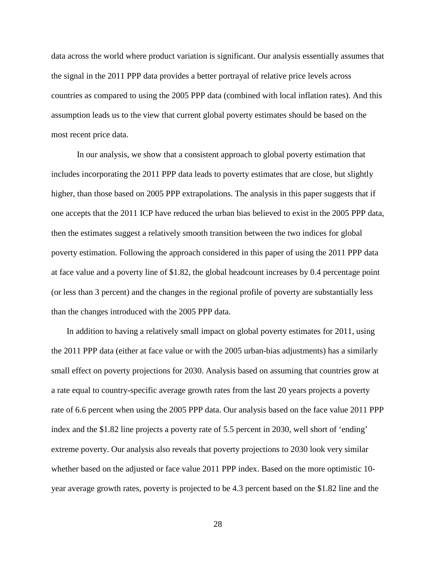data across the world where product variation is significant. Our analysis essentially assumes that the signal in the 2011 PPP data provides a better portrayal of relative price levels across countries as compared to using the 2005 PPP data (combined with local inflation rates). And this assumption leads us to the view that current global poverty estimates should be based on the most recent price data.

In our analysis, we show that a consistent approach to global poverty estimation that includes incorporating the 2011 PPP data leads to poverty estimates that are close, but slightly higher, than those based on 2005 PPP extrapolations. The analysis in this paper suggests that if one accepts that the 2011 ICP have reduced the urban bias believed to exist in the 2005 PPP data, then the estimates suggest a relatively smooth transition between the two indices for global poverty estimation. Following the approach considered in this paper of using the 2011 PPP data at face value and a poverty line of \$1.82, the global headcount increases by 0.4 percentage point (or less than 3 percent) and the changes in the regional profile of poverty are substantially less than the changes introduced with the 2005 PPP data.

In addition to having a relatively small impact on global poverty estimates for 2011, using the 2011 PPP data (either at face value or with the 2005 urban-bias adjustments) has a similarly small effect on poverty projections for 2030. Analysis based on assuming that countries grow at a rate equal to country-specific average growth rates from the last 20 years projects a poverty rate of 6.6 percent when using the 2005 PPP data. Our analysis based on the face value 2011 PPP index and the \$1.82 line projects a poverty rate of 5.5 percent in 2030, well short of 'ending' extreme poverty. Our analysis also reveals that poverty projections to 2030 look very similar whether based on the adjusted or face value 2011 PPP index. Based on the more optimistic 10 year average growth rates, poverty is projected to be 4.3 percent based on the \$1.82 line and the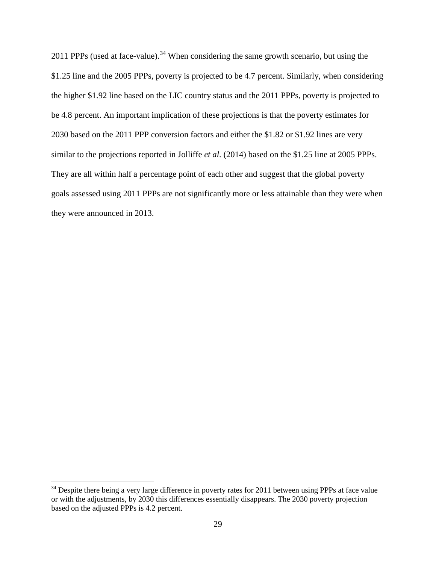2011 PPPs (used at face-value).<sup>[34](#page-26-0)</sup> When considering the same growth scenario, but using the \$1.25 line and the 2005 PPPs, poverty is projected to be 4.7 percent. Similarly, when considering the higher \$1.92 line based on the LIC country status and the 2011 PPPs, poverty is projected to be 4.8 percent. An important implication of these projections is that the poverty estimates for 2030 based on the 2011 PPP conversion factors and either the \$1.82 or \$1.92 lines are very similar to the projections reported in Jolliffe *et al*. (2014) based on the \$1.25 line at 2005 PPPs. They are all within half a percentage point of each other and suggest that the global poverty goals assessed using 2011 PPPs are not significantly more or less attainable than they were when they were announced in 2013.

<span id="page-31-0"></span><sup>&</sup>lt;sup>34</sup> Despite there being a very large difference in poverty rates for 2011 between using PPPs at face value or with the adjustments, by 2030 this differences essentially disappears. The 2030 poverty projection based on the adjusted PPPs is 4.2 percent.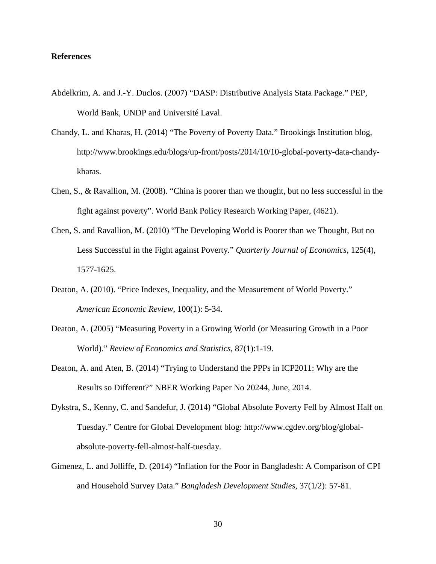#### **References**

- Abdelkrim, A. and J.-Y. Duclos. (2007) "DASP: Distributive Analysis Stata Package." PEP, World Bank, UNDP and Université Laval.
- Chandy, L. and Kharas, H. (2014) "The Poverty of Poverty Data." Brookings Institution blog, http://www.brookings.edu/blogs/up-front/posts/2014/10/10-global-poverty-data-chandykharas.
- Chen, S., & Ravallion, M. (2008). "China is poorer than we thought, but no less successful in the fight against poverty". World Bank Policy Research Working Paper, (4621).
- Chen, S. and Ravallion, M. (2010) "The Developing World is Poorer than we Thought, But no Less Successful in the Fight against Poverty." *Quarterly Journal of Economics*, 125(4), 1577-1625.
- Deaton, A. (2010). "Price Indexes, Inequality, and the Measurement of World Poverty." *American Economic Review*, 100(1): 5-34.
- Deaton, A. (2005) "Measuring Poverty in a Growing World (or Measuring Growth in a Poor World)." *Review of Economics and Statistics*, 87(1):1-19.
- Deaton, A. and Aten, B. (2014) "Trying to Understand the PPPs in ICP2011: Why are the Results so Different?" NBER Working Paper No 20244, June, 2014.
- Dykstra, S., Kenny, C. and Sandefur, J. (2014) "Global Absolute Poverty Fell by Almost Half on Tuesday." Centre for Global Development blog: [http://www.cgdev.org/blog/global](http://www.cgdev.org/blog/global-absolute-poverty-fell-almost-half-tuesday)[absolute-poverty-fell-almost-half-tuesday.](http://www.cgdev.org/blog/global-absolute-poverty-fell-almost-half-tuesday)
- Gimenez, L. and Jolliffe, D. (2014) "Inflation for the Poor in Bangladesh: A Comparison of CPI and Household Survey Data." *Bangladesh Development Studies*, 37(1/2): 57-81.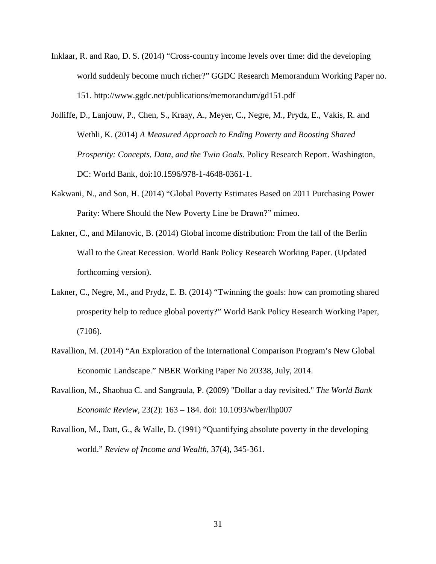- Inklaar, R. and Rao, D. S. (2014) "Cross-country income levels over time: did the developing world suddenly become much richer?" GGDC Research Memorandum Working Paper no. 151. http://www.ggdc.net/publications/memorandum/gd151.pdf
- Jolliffe, D., Lanjouw, P., Chen, S., Kraay, A., Meyer, C., Negre, M., Prydz, E., Vakis, R. and Wethli, K. (2014) *A Measured Approach to Ending Poverty and Boosting Shared Prosperity: Concepts, Data, and the Twin Goals*. Policy Research Report. Washington, DC: World Bank, doi:10.1596/978-1-4648-0361-1.
- Kakwani, N., and Son, H. (2014) "Global Poverty Estimates Based on 2011 Purchasing Power Parity: Where Should the New Poverty Line be Drawn?" mimeo.
- Lakner, C., and Milanovic, B. (2014) Global income distribution: From the fall of the Berlin Wall to the Great Recession. World Bank Policy Research Working Paper. (Updated forthcoming version).
- Lakner, C., Negre, M., and Prydz, E. B. (2014) "Twinning the goals: how can promoting shared prosperity help to reduce global poverty?" World Bank Policy Research Working Paper, (7106).
- Ravallion, M. (2014) "An Exploration of the International Comparison Program's New Global Economic Landscape." NBER Working Paper No 20338, July, 2014.
- Ravallion, M., Shaohua C. and Sangraula, P. (2009) "Dollar a day revisited." *The World Bank Economic Review*, 23(2): 163 – 184. doi: 10.1093/wber/lhp007
- Ravallion, M., Datt, G., & Walle, D. (1991) "Quantifying absolute poverty in the developing world." *Review of Income and Wealth*, 37(4), 345-361.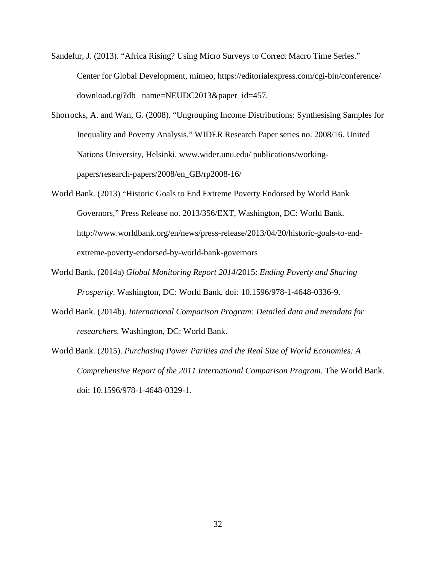Sandefur, J. (2013). "Africa Rising? Using Micro Surveys to Correct Macro Time Series." Center for Global Development, mimeo,<https://editorialexpress.com/cgi-bin/conference/> download.cgi?db\_ name=NEUDC2013&paper\_id=457.

- Shorrocks, A. and Wan, G. (2008). "Ungrouping Income Distributions: Synthesising Samples for Inequality and Poverty Analysis." WIDER Research Paper series no. 2008/16. United Nations University, Helsinki. [www.wider.unu.edu/](http://www.wider.unu.edu/) publications/workingpapers/research-papers/2008/en\_GB/rp2008-16/
- World Bank. (2013) "Historic Goals to End Extreme Poverty Endorsed by World Bank Governors," Press Release no. 2013/356/EXT, Washington, DC: World Bank. http://www.worldbank.org/en/news/press-release/2013/04/20/historic-goals-to-endextreme-poverty-endorsed-by-world-bank-governors
- World Bank. (2014a) *Global Monitoring Report 2014*/2015: *Ending Poverty and Sharing Prosperity*. Washington, DC: World Bank*.* doi*:* 10.1596/978-1-4648-0336-9.
- World Bank. (2014b). *International Comparison Program: Detailed data and metadata for researchers.* Washington, DC: World Bank.
- World Bank. (2015). *Purchasing Power Parities and the Real Size of World Economies: A Comprehensive Report of the 2011 International Comparison Program*. The World Bank. [doi:](http://elibrary.worldbank.org/doi) 10.1596/978-1-4648-0329-1.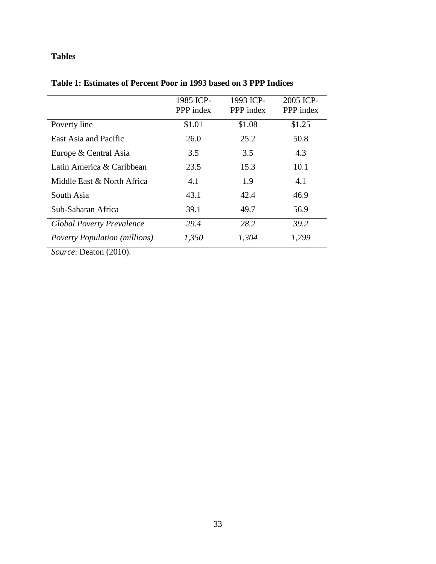### **Tables**

|                                      | 1985 ICP-<br>PPP index | 1993 ICP-<br>PPP index | 2005 ICP-<br>PPP index |
|--------------------------------------|------------------------|------------------------|------------------------|
| Poverty line                         | \$1.01                 | \$1.08                 | \$1.25                 |
| East Asia and Pacific                | 26.0                   | 25.2                   | 50.8                   |
| Europe & Central Asia                | 3.5                    | 3.5                    | 4.3                    |
| Latin America & Caribbean            | 23.5                   | 15.3                   | 10.1                   |
| Middle East & North Africa           | 4.1                    | 1.9                    | 4.1                    |
| South Asia                           | 43.1                   | 42.4                   | 46.9                   |
| Sub-Saharan Africa                   | 39.1                   | 49.7                   | 56.9                   |
| <b>Global Poverty Prevalence</b>     | 29.4                   | 28.2                   | 39.2                   |
| <b>Poverty Population (millions)</b> | 1,350                  | 1,304                  | 1,799                  |

### **Table 1: Estimates of Percent Poor in 1993 based on 3 PPP Indices**

*Source*: Deaton (2010).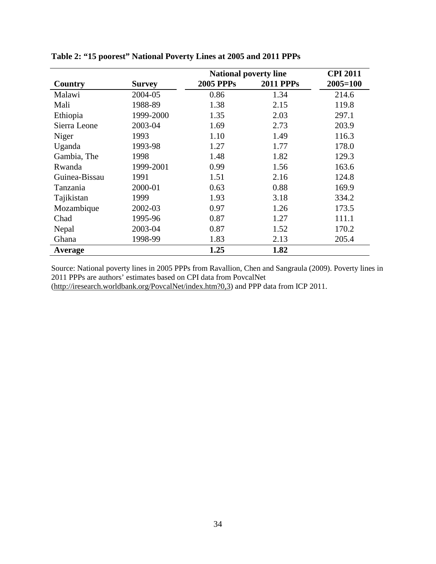|               |           | <b>National poverty line</b> | <b>CPI 2011</b>  |              |
|---------------|-----------|------------------------------|------------------|--------------|
| Country       | Survey    | <b>2005 PPPs</b>             | <b>2011 PPPs</b> | $2005 = 100$ |
| Malawi        | 2004-05   | 0.86                         | 1.34             | 214.6        |
| Mali          | 1988-89   | 1.38                         | 2.15             | 119.8        |
| Ethiopia      | 1999-2000 | 1.35                         | 2.03             | 297.1        |
| Sierra Leone  | 2003-04   | 1.69                         | 2.73             | 203.9        |
| Niger         | 1993      | 1.10                         | 1.49             | 116.3        |
| Uganda        | 1993-98   | 1.27                         | 1.77             | 178.0        |
| Gambia, The   | 1998      | 1.48                         | 1.82             | 129.3        |
| Rwanda        | 1999-2001 | 0.99                         | 1.56             | 163.6        |
| Guinea-Bissau | 1991      | 1.51                         | 2.16             | 124.8        |
| Tanzania      | 2000-01   | 0.63                         | 0.88             | 169.9        |
| Tajikistan    | 1999      | 1.93                         | 3.18             | 334.2        |
| Mozambique    | 2002-03   | 0.97                         | 1.26             | 173.5        |
| Chad          | 1995-96   | 0.87                         | 1.27             | 111.1        |
| Nepal         | 2003-04   | 0.87                         | 1.52             | 170.2        |
| Ghana         | 1998-99   | 1.83                         | 2.13             | 205.4        |
| Average       |           | 1.25                         | 1.82             |              |

| Table 2: "15 poorest" National Poverty Lines at 2005 and 2011 PPPs |
|--------------------------------------------------------------------|
|--------------------------------------------------------------------|

Source: National poverty lines in 2005 PPPs from Ravallion, Chen and Sangraula (2009). Poverty lines in 2011 PPPs are authors' estimates based on CPI data from PovcalNet [\(http://iresearch.worldbank.org/PovcalNet/index.htm?0,3\)](http://iresearch.worldbank.org/PovcalNet/index.htm?0,3) and PPP data from ICP 2011.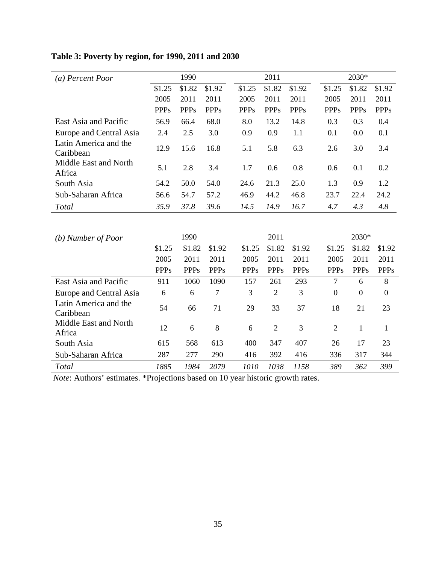# **Table 3: Poverty by region, for 1990, 2011 and 2030**

| (a) Percent Poor                   |             | 1990        |             |             | 2011        |             |             | 2030*       |             |
|------------------------------------|-------------|-------------|-------------|-------------|-------------|-------------|-------------|-------------|-------------|
|                                    | \$1.25      | \$1.82      | \$1.92      | \$1.25      | \$1.82      | \$1.92      | \$1.25      | \$1.82      | \$1.92      |
|                                    | 2005        | 2011        | 2011        | 2005        | 2011        | 2011        | 2005        | 2011        | 2011        |
|                                    | <b>PPPs</b> | <b>PPPs</b> | <b>PPPs</b> | <b>PPPs</b> | <b>PPPs</b> | <b>PPPs</b> | <b>PPPs</b> | <b>PPPs</b> | <b>PPPs</b> |
| East Asia and Pacific              | 56.9        | 66.4        | 68.0        | 8.0         | 13.2        | 14.8        | 0.3         | 0.3         | 0.4         |
| Europe and Central Asia            | 2.4         | 2.5         | 3.0         | 0.9         | 0.9         | 1.1         | 0.1         | 0.0         | 0.1         |
| Latin America and the<br>Caribbean | 12.9        | 15.6        | 16.8        | 5.1         | 5.8         | 6.3         | 2.6         | 3.0         | 3.4         |
| Middle East and North<br>Africa    | 5.1         | 2.8         | 3.4         | 1.7         | 0.6         | 0.8         | 0.6         | 0.1         | 0.2         |
| South Asia                         | 54.2        | 50.0        | 54.0        | 24.6        | 21.3        | 25.0        | 1.3         | 0.9         | 1.2         |
| Sub-Saharan Africa                 | 56.6        | 54.7        | 57.2        | 46.9        | 44.2        | 46.8        | 23.7        | 22.4        | 24.2        |
| Total                              | 35.9        | 37.8        | 39.6        | 14.5        | 14.9        | 16.7        | 4.7         | 4.3         | 4.8         |

| (b) Number of Poor                 |             | 1990        |             |             | 2011           |             |                  | 2030*          |                  |
|------------------------------------|-------------|-------------|-------------|-------------|----------------|-------------|------------------|----------------|------------------|
|                                    | \$1.25      | \$1.82      | \$1.92      | \$1.25      | \$1.82         | \$1.92      | \$1.25           | \$1.82         | \$1.92           |
|                                    | 2005        | 2011        | 2011        | 2005        | 2011           | 2011        | 2005             | 2011           | 2011             |
|                                    | <b>PPPs</b> | <b>PPPs</b> | <b>PPPs</b> | <b>PPPs</b> | <b>PPPs</b>    | <b>PPPs</b> | <b>PPPs</b>      | <b>PPPs</b>    | <b>PPPs</b>      |
| East Asia and Pacific              | 911         | 1060        | 1090        | 157         | 261            | 293         | 7                | 6              | 8                |
| Europe and Central Asia            | 6           | 6           | 7           | 3           | 2              | 3           | $\boldsymbol{0}$ | $\overline{0}$ | $\boldsymbol{0}$ |
| Latin America and the<br>Caribbean | 54          | 66          | 71          | 29          | 33             | 37          | 18               | 21             | 23               |
| Middle East and North<br>Africa    | 12          | 6           | 8           | 6           | $\overline{2}$ | 3           | 2                | 1              | 1                |
| South Asia                         | 615         | 568         | 613         | 400         | 347            | 407         | 26               | 17             | 23               |
| Sub-Saharan Africa                 | 287         | 277         | 290         | 416         | 392            | 416         | 336              | 317            | 344              |
| Total                              | 1885        | 1984        | 2079        | 1010        | 1038           | 1158        | 389              | 362            | 399              |

*Note*: Authors' estimates. \*Projections based on 10 year historic growth rates.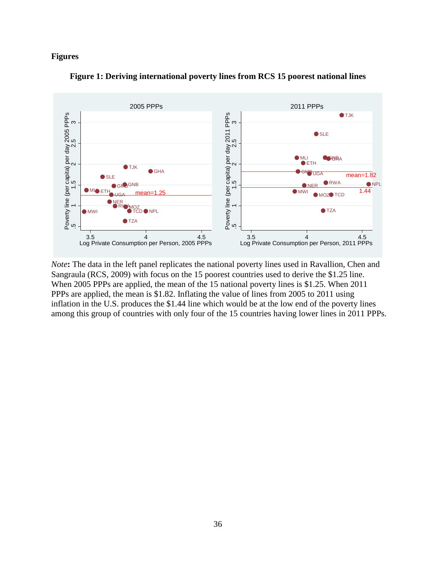#### **Figures**





*Note*: The data in the left panel replicates the national poverty lines used in Ravallion, Chen and Sangraula (RCS, 2009) with focus on the 15 poorest countries used to derive the \$1.25 line. When 2005 PPPs are applied, the mean of the 15 national poverty lines is \$1.25. When 2011 PPPs are applied, the mean is \$1.82. Inflating the value of lines from 2005 to 2011 using inflation in the U.S. produces the \$1.44 line which would be at the low end of the poverty lines among this group of countries with only four of the 15 countries having lower lines in 2011 PPPs.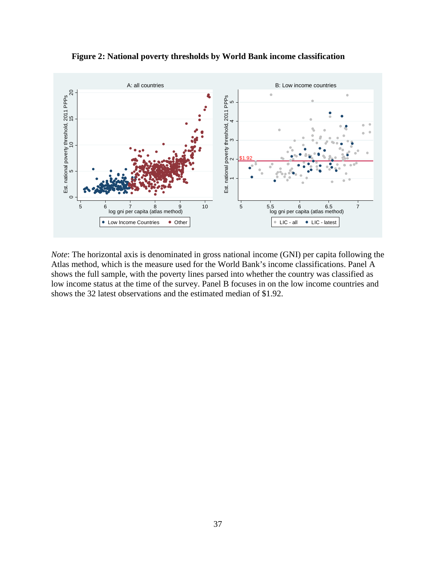**Figure 2: National poverty thresholds by World Bank income classification**



*Note*: The horizontal axis is denominated in gross national income (GNI) per capita following the Atlas method, which is the measure used for the World Bank's income classifications. Panel A shows the full sample, with the poverty lines parsed into whether the country was classified as low income status at the time of the survey. Panel B focuses in on the low income countries and shows the 32 latest observations and the estimated median of \$1.92.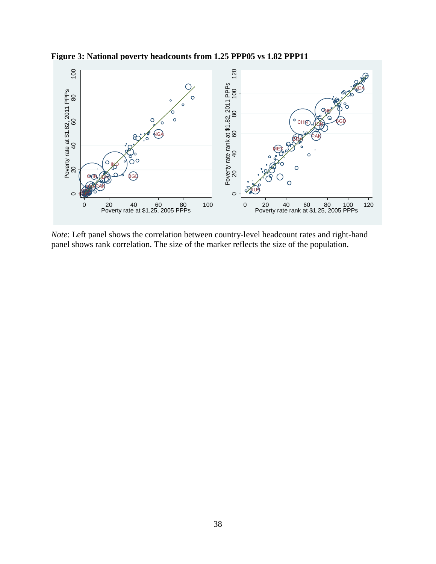

**Figure 3: National poverty headcounts from 1.25 PPP05 vs 1.82 PPP11**

*Note*: Left panel shows the correlation between country-level headcount rates and right-hand panel shows rank correlation. The size of the marker reflects the size of the population.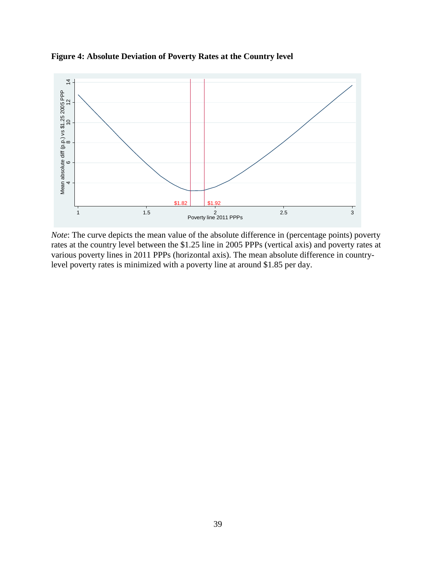

**Figure 4: Absolute Deviation of Poverty Rates at the Country level**

*Note*: The curve depicts the mean value of the absolute difference in (percentage points) poverty rates at the country level between the \$1.25 line in 2005 PPPs (vertical axis) and poverty rates at various poverty lines in 2011 PPPs (horizontal axis). The mean absolute difference in countrylevel poverty rates is minimized with a poverty line at around \$1.85 per day.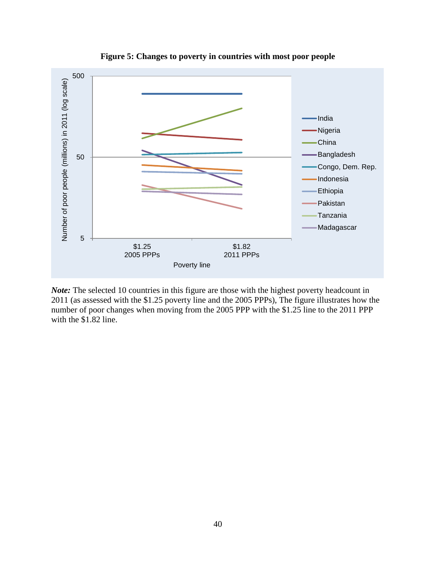

**Figure 5: Changes to poverty in countries with most poor people**

*Note:* The selected 10 countries in this figure are those with the highest poverty headcount in 2011 (as assessed with the \$1.25 poverty line and the 2005 PPPs), The figure illustrates how the number of poor changes when moving from the 2005 PPP with the \$1.25 line to the 2011 PPP with the \$1.82 line.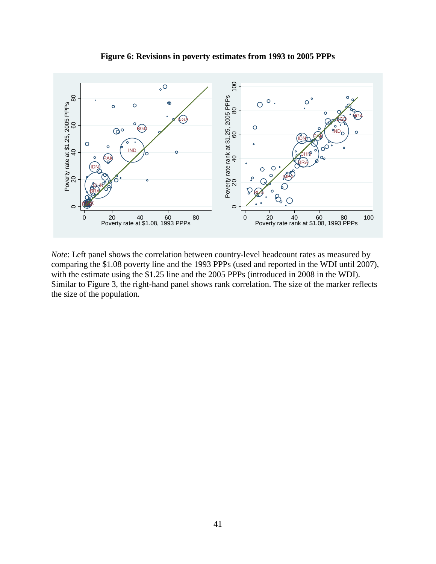

**Figure 6: Revisions in poverty estimates from 1993 to 2005 PPPs**

*Note*: Left panel shows the correlation between country-level headcount rates as measured by comparing the \$1.08 poverty line and the 1993 PPPs (used and reported in the WDI until 2007), with the estimate using the \$1.25 line and the 2005 PPPs (introduced in 2008 in the WDI). Similar to Figure 3, the right-hand panel shows rank correlation. The size of the marker reflects the size of the population.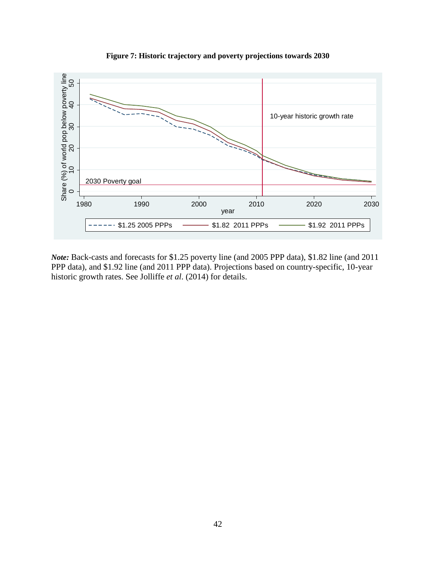

**Figure 7: Historic trajectory and poverty projections towards 2030**

*Note:* Back-casts and forecasts for \$1.25 poverty line (and 2005 PPP data), \$1.82 line (and 2011 PPP data), and \$1.92 line (and 2011 PPP data). Projections based on country-specific, 10-year historic growth rates. See Jolliffe *et al*. (2014) for details.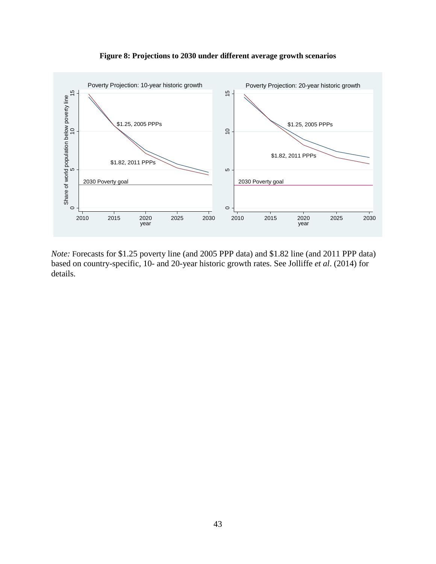

**Figure 8: Projections to 2030 under different average growth scenarios**

*Note:* Forecasts for \$1.25 poverty line (and 2005 PPP data) and \$1.82 line (and 2011 PPP data) based on country-specific, 10- and 20-year historic growth rates. See Jolliffe *et al*. (2014) for details.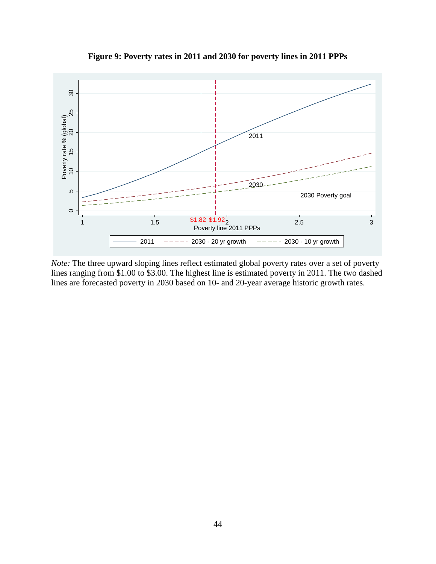

**Figure 9: Poverty rates in 2011 and 2030 for poverty lines in 2011 PPPs**

*Note:* The three upward sloping lines reflect estimated global poverty rates over a set of poverty lines ranging from \$1.00 to \$3.00. The highest line is estimated poverty in 2011. The two dashed lines are forecasted poverty in 2030 based on 10- and 20-year average historic growth rates.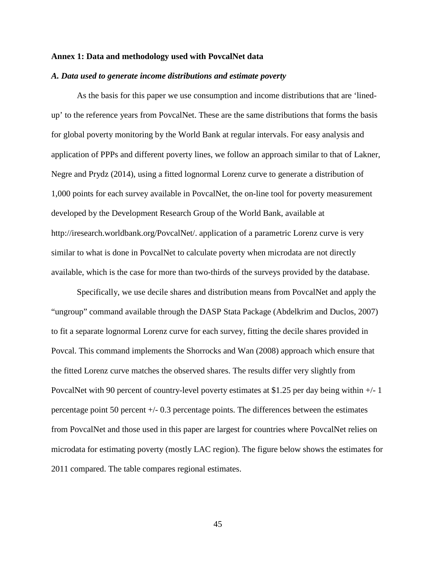#### **Annex 1: Data and methodology used with PovcalNet data**

#### *A. Data used to generate income distributions and estimate poverty*

As the basis for this paper we use consumption and income distributions that are 'linedup' to the reference years from PovcalNet. These are the same distributions that forms the basis for global poverty monitoring by the World Bank at regular intervals. For easy analysis and application of PPPs and different poverty lines, we follow an approach similar to that of Lakner, Negre and Prydz (2014), using a fitted lognormal Lorenz curve to generate a distribution of 1,000 points for each survey available in PovcalNet, the on-line tool for poverty measurement developed by the Development Research Group of the World Bank, available at http://iresearch.worldbank.org/PovcalNet/. application of a parametric Lorenz curve is very similar to what is done in PovcalNet to calculate poverty when microdata are not directly available, which is the case for more than two-thirds of the surveys provided by the database.

Specifically, we use decile shares and distribution means from PovcalNet and apply the "ungroup" command available through the DASP Stata Package (Abdelkrim and Duclos, 2007) to fit a separate lognormal Lorenz curve for each survey, fitting the decile shares provided in Povcal. This command implements the Shorrocks and Wan (2008) approach which ensure that the fitted Lorenz curve matches the observed shares. The results differ very slightly from PovcalNet with 90 percent of country-level poverty estimates at \$1.25 per day being within +/- 1 percentage point 50 percent +/- 0.3 percentage points. The differences between the estimates from PovcalNet and those used in this paper are largest for countries where PovcalNet relies on microdata for estimating poverty (mostly LAC region). The figure below shows the estimates for 2011 compared. The table compares regional estimates.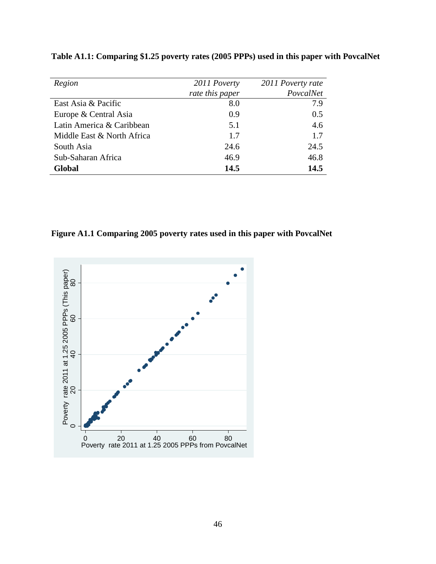| Region                     | 2011 Poverty    | 2011 Poverty rate |
|----------------------------|-----------------|-------------------|
|                            | rate this paper | PovcalNet         |
| East Asia & Pacific        | 8.0             | 7.9               |
| Europe & Central Asia      | 0.9             | 0.5               |
| Latin America & Caribbean  | 5.1             | 4.6               |
| Middle East & North Africa | 1.7             | 1.7               |
| South Asia                 | 24.6            | 24.5              |
| Sub-Saharan Africa         | 46.9            | 46.8              |
| Global                     | 14.5            | 14.5              |

**Table A1.1: Comparing \$1.25 poverty rates (2005 PPPs) used in this paper with PovcalNet**

**Figure A1.1 Comparing 2005 poverty rates used in this paper with PovcalNet**

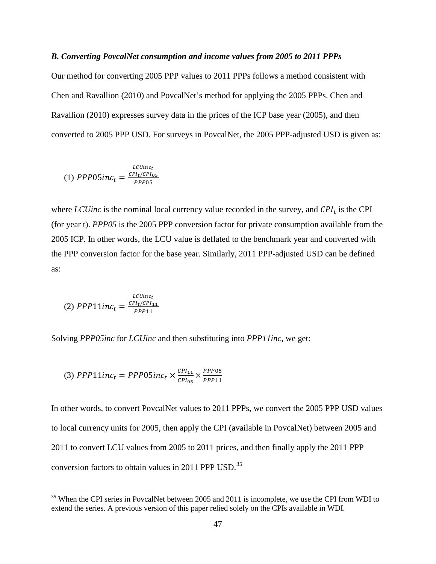#### *B. Converting PovcalNet consumption and income values from 2005 to 2011 PPPs*

Our method for converting 2005 PPP values to 2011 PPPs follows a method consistent with Chen and Ravallion (2010) and PovcalNet's method for applying the 2005 PPPs. Chen and Ravallion (2010) expresses survey data in the prices of the ICP base year (2005), and then converted to 2005 PPP USD. For surveys in PovcalNet, the 2005 PPP-adjusted USD is given as:

$$
(1) \; PPP05inc_t = \frac{\frac{LCUinc_t}{CPI_t/CPI_{05}}}{PPP05}
$$

where *LCUinc* is the nominal local currency value recorded in the survey, and  $\mathcal{CPI}_t$  is the CPI (for year t). *PPP05* is the 2005 PPP conversion factor for private consumption available from the 2005 ICP. In other words, the LCU value is deflated to the benchmark year and converted with the PPP conversion factor for the base year. Similarly, 2011 PPP-adjusted USD can be defined as:

(2) 
$$
PPP11inc_t = \frac{\frac{LCUinc_t}{CPI_t/CPI_{11}}}{PPP11}
$$

Solving *PPP05inc* for *LCUinc* and then substituting into *PPP11inc*, we get:

(3) 
$$
PPP11inc_t = PPP05inc_t \times \frac{CPI_{11}}{CPI_{05}} \times \frac{PPP05}{PPP11}
$$

In other words, to convert PovcalNet values to 2011 PPPs, we convert the 2005 PPP USD values to local currency units for 2005, then apply the CPI (available in PovcalNet) between 2005 and 2011 to convert LCU values from 2005 to 2011 prices, and then finally apply the 2011 PPP conversion factors to obtain values in 2011 PPP USD.<sup>[35](#page-31-0)</sup>

<sup>&</sup>lt;sup>35</sup> When the CPI series in PovcalNet between 2005 and 2011 is incomplete, we use the CPI from WDI to extend the series. A previous version of this paper relied solely on the CPIs available in WDI.